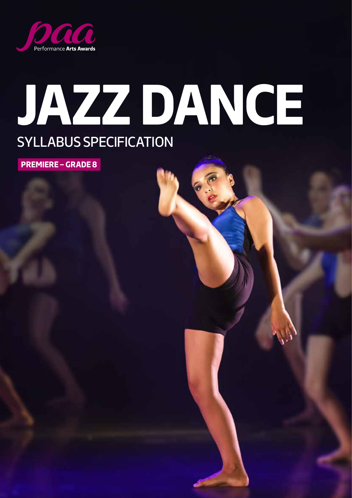

# **JAZZ DANCE** SYLLABUS SPECIFICATION

**PREMIERE – GRADE 8**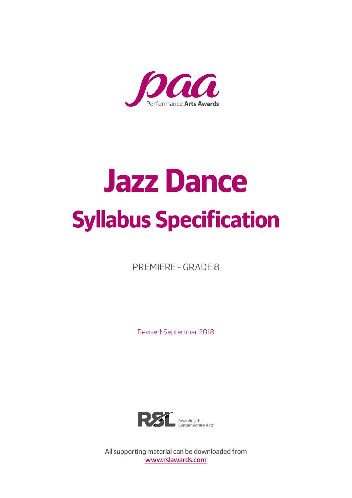

# **Jazz Dance Syllabus Specification**

PREMIERE - GRADE 8

Revised: September 2018



All supporting material can be downloaded from [www.rslawards.com](http://www.rslawards.com)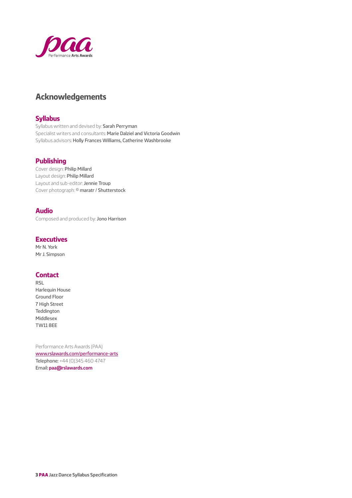

#### **Acknowledgements**

#### **Syllabus**

Syllabus written and devised by: Sarah Perryman Specialist writers and consultants: Marie Dalziel and Victoria Goodwin Syllabus advisors: Holly Frances Williams, Catherine Washbrooke

#### **Publishing**

Cover design: Philip Millard Layout design: Philip Millard Layout and sub-editor: Jennie Troup Cover photograph: © maratr / Shutterstock

#### **Audio**

Composed and produced by: Jono Harrison

#### **Executives**

Mr N. York Mr J. Simpson

#### **Contact**

RSL Harlequin House Ground Floor 7 High Street **Teddington** Middlesex TW11 8EE

Performance Arts Awards (PAA) [www.rslawards.com/performance-arts](http://www.rslawards.com/performance-arts) Telephone: +44 (0)345 460 4747 Email: **paa@rslawards.com**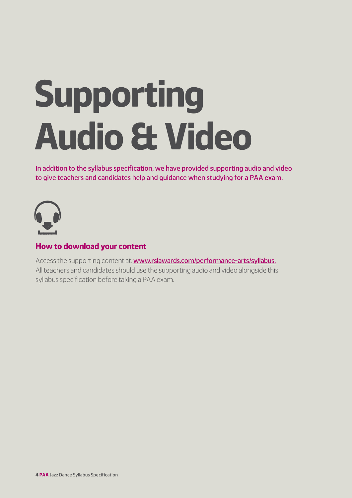# **Supporting Audio & Video**

In addition to the syllabus specification, we have provided supporting audio and video to give teachers and candidates help and guidance when studying for a PAA exam.



#### **How to download your content**

Access the supporting content at: **[www.rslawards.com/performance-arts/syllabus.](http://www.rslawards.com/performance-arts/syllabus.)** All teachers and candidates should use the supporting audio and video alongside this syllabus specification before taking a PAA exam.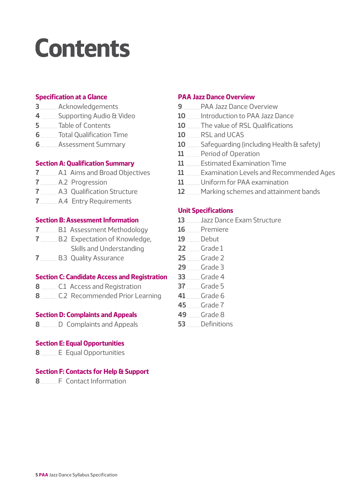## **Contents**

#### **Specification at a Glance**

- Acknowledgements
- **Supporting Audio & Video**
- Table of Contents
- Total Qualification Time
- **Assessment Summary**

#### **Section A: Qualification Summary**

- A.1 Aims and Broad Objectives
- A.2 Progression
- A.3 Qualification Structure
- **A.4** Entry Requirements

#### **Section B: Assessment Information**

- **B.1** Assessment Methodology
- **B.2** Expectation of Knowledge, Skills and Understanding
- **B.3 Quality Assurance**

#### **Section C: Candidate Access and Registration**

- C.1 Access and Registration
- C.2 Recommended Prior Learning

#### **Section D: Complaints and Appeals**

D Complaints and Appeals

#### **Section E: Equal Opportunities**

Equal Opportunities

#### **Section F: Contacts for Help & Support**

F Contact Information

#### **PAA Jazz Dance Overview**

- PAA Jazz Dance Overview
- **ID I**ntroduction to PAA Jazz Dance
- **ID** The value of RSL Qualifications
- 10 RSL and UCAS
- **Safeguarding (including Health & safety)**
- 11 Period of Operation
- Estimated Examination Time
- **Examination Levels and Recommended Ages**
- Uniform for PAA examination
- Marking schemes and attainment bands

#### **Unit Specifications**

- Jazz Dance Exam Structure
- Premiere
- Debut
- Grade 1
- Grade 2
- Grade 3
- Grade 4
- Grade 5
- Grade 6
- Grade 7
- Grade 8
- Definitions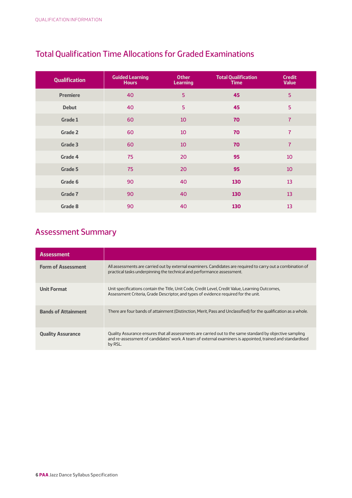| <b>Qualification</b> | <b>Guided Learning</b><br><b>Hours</b> | <b>Other</b><br><b>Learning</b> | <b>Total Qualification</b><br><b>Time</b> | <b>Credit</b><br><b>Value</b> |
|----------------------|----------------------------------------|---------------------------------|-------------------------------------------|-------------------------------|
| <b>Premiere</b>      | 40                                     | 5                               | 45                                        | 5                             |
| <b>Debut</b>         | 40                                     | 5                               | 45                                        | 5                             |
| <b>Grade 1</b>       | 60                                     | 10                              | 70                                        | $\overline{7}$                |
| <b>Grade 2</b>       | 60                                     | 10                              | 70                                        | $\overline{7}$                |
| Grade 3              | 60                                     | 10                              | 70                                        | $\overline{7}$                |
| Grade 4              | 75                                     | 20                              | 95                                        | 10                            |
| Grade 5              | 75                                     | 20                              | 95                                        | 10                            |
| Grade 6              | 90                                     | 40                              | 130                                       | 13                            |
| <b>Grade 7</b>       | 90                                     | 40                              | 130                                       | 13                            |
| <b>Grade 8</b>       | 90                                     | 40                              | 130                                       | 13                            |

#### Total Qualification Time Allocations for Graded Examinations

## Assessment Summary

| <b>Assessment</b>          |                                                                                                                                                                                                                                    |
|----------------------------|------------------------------------------------------------------------------------------------------------------------------------------------------------------------------------------------------------------------------------|
| <b>Form of Assessment</b>  | All assessments are carried out by external examiners. Candidates are required to carry out a combination of<br>practical tasks underpinning the technical and performance assessment.                                             |
| <b>Unit Format</b>         | Unit specifications contain the Title, Unit Code, Credit Level, Credit Value, Learning Outcomes,<br>Assessment Criteria, Grade Descriptor, and types of evidence required for the unit.                                            |
| <b>Bands of Attainment</b> | There are four bands of attainment (Distinction, Merit, Pass and Unclassified) for the qualification as a whole.                                                                                                                   |
| <b>Quality Assurance</b>   | Quality Assurance ensures that all assessments are carried out to the same standard by objective sampling<br>and re-assessment of candidates' work. A team of external examiners is appointed, trained and standardised<br>by RSL. |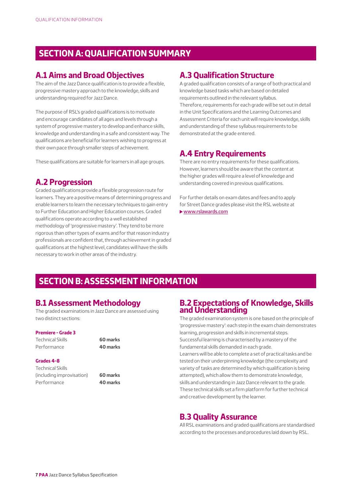#### **SECTION A: QUALIFICATION SUMMARY**

#### **A.1 Aims and Broad Objectives**

The aim of the Jazz Dance qualification is to provide a flexible, progressive mastery approach to the knowledge, skills and understanding required for Jazz Dance.

The purpose of RSL's graded qualifications is to motivate and encourage candidates of all ages and levels through a system of progressive mastery to develop and enhance skills, knowledge and understanding in a safe and consistent way. The qualifications are beneficial for learners wishing to progress at their own pace through smaller steps of achievement.

These qualifications are suitable for learners in all age groups.

#### **A.2 Progression**

Graded qualifications provide a flexible progression route for learners. They are a positive means of determining progress and enable learners to learn the necessary techniques to gain entry to Further Education and Higher Education courses. Graded qualifications operate according to a well established methodology of 'progressive mastery'. They tend to be more rigorous than other types of exams and for that reason industry professionals are confident that, through achievement in graded qualifications at the highest level, candidates will have the skills necessary to work in other areas of the industry.

#### **A.3 Qualification Structure**

A graded qualification consists of a range of both practical and knowledge based tasks which are based on detailed requirements outlined in the relevant syllabus. Therefore, requirements for each grade will be set out in detail in the Unit Specifications and the Learning Outcomes and Assessment Criteria for each unit will require knowledge, skills and understanding of these syllabus requirements to be demonstrated at the grade entered.

#### **A.4 Entry Requirements**

There are no entry requirements for these qualifications. However, learners should be aware that the content at the higher grades will require a level of knowledge and understanding covered in previous qualifications.

For further details on exam dates and fees and to apply for Street Dance grades please visit the RSL website at [www.rslawards.com](http://www.rslawards.com)

#### **SECTION B: ASSESSMENT INFORMATION**

#### **B.1 Assessment Methodology**

The graded examinations in Jazz Dance are assessed using two distinct sections:

#### **Premiere - Grade 3**

Technical Skills **60 marks** Performance **40 marks**

#### **Grades 4-8**

Technical Skills (including improvisation) **60 marks** Performance **40 marks**

#### **B.2 Expectations of Knowledge, Skills and Understanding**

The graded examination system is one based on the principle of 'progressive mastery': each step in the exam chain demonstrates learning, progression and skills in incremental steps. Successful learning is characterised by a mastery of the fundamental skills demanded in each grade.

Learners will be able to complete a set of practical tasks and be tested on their underpinning knowledge (the complexity and variety of tasks are determined by which qualification is being attempted), which allow them to demonstrate knowledge, skills and understanding in Jazz Dance relevant to the grade. These technical skills set a firm platform for further technical and creative development by the learner.

#### **B.3 Quality Assurance**

All RSL examinations and graded qualifications are standardised according to the processes and procedures laid down by RSL.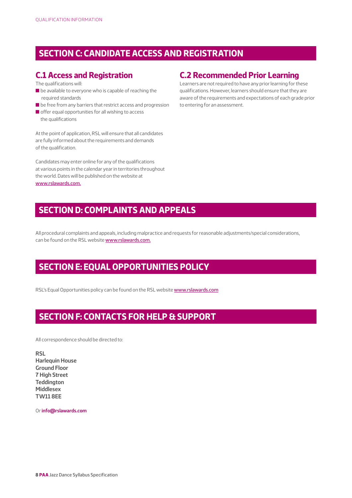#### **SECTION C: CANDIDATE ACCESS AND REGISTRATION**

#### **C.1 Access and Registration**

The qualifications will:

- $\blacksquare$  be available to everyone who is capable of reaching the required standards
- $\blacksquare$  be free from any barriers that restrict access and progression
- $\blacksquare$  offer equal opportunities for all wishing to access the qualifications

At the point of application, RSL will ensure that all candidates are fully informed about the requirements and demands of the qualification.

Candidates may enter online for any of the qualifications at various points in the calendar year in territories throughout the world. Dates will be published on the website at [www.rslawards.com.](http://www.rslawards.com.)

#### **C.2 Recommended Prior Learning**

Learners are not required to have any prior learning for these qualifications. However, learners should ensure that they are aware of the requirements and expectations of each grade prior to entering for an assessment.

#### **SECTION D: COMPLAINTS AND APPEALS**

All procedural complaints and appeals, including malpractice and requests for reasonable adjustments/special considerations, can be found on the RSL website [www.rslawards.com.](http://www.rslawards.com.)

#### **SECTION E: EQUAL OPPORTUNITIES POLICY**

RSL's Equal Opportunities policy can be found on the RSL website [www.rslawards.com](http://www.rslawards.com)

#### **SECTION F: CONTACTS FOR HELP & SUPPORT**

All correspondence should be directed to:

**RSL Harlequin House Ground Floor 7 High Street Teddington Middlesex TW11 8EE**

Or **info@rslawards.com**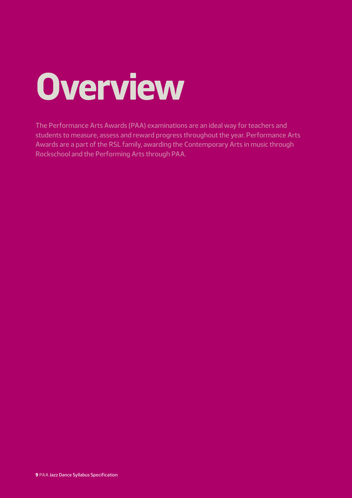# **Overview**

The Performance Arts Awards (PAA) examinations are an ideal way for teachers and students to measure, assess and reward progress throughout the year. Performance Arts Awards are a part of the RSL family, awarding the Contemporary Arts in music through Rockschool and the Performing Arts through PAA.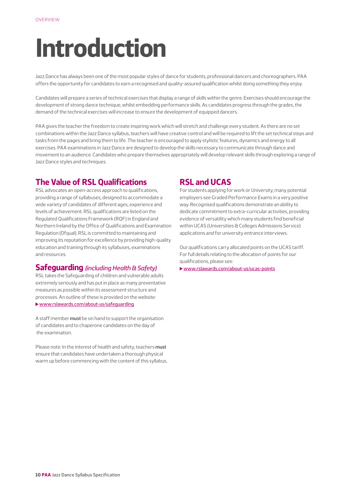## **Introduction**

Jazz Dance has always been one of the most popular styles of dance for students, professional dancers and choreographers. PAA offers the opportunity for candidates to earn a recognised and quality-assured qualification whilst doing something they enjoy.

Candidates will prepare a series of technical exercises that display a range of skills within the genre. Exercises should encourage the development of strong dance technique, whilst embedding performance skills. As candidates progress through the grades, the demand of the technical exercises will increase to ensure the development of equipped dancers.

PAA gives the teacher the freedom to create inspiring work which will stretch and challenge every student. As there are no set combinations within the Jazz Dance syllabus, teachers will have creative control and will be required to lift the set technical steps and tasks from the pages and bring them to life. The teacher is encouraged to apply stylistic features, dynamics and energy to all exercises. PAA examinations in Jazz Dance are designed to develop the skills necessary to communicate through dance and movement to an audience. Candidates who prepare themselves appropriately will develop relevant skills through exploring a range of Jazz Dance styles and techniques.

#### **The Value of RSL Qualifications**

RSL advocates an open-access approach to qualifications, providing a range of syllabuses, designed to accommodate a wide variety of candidates of different ages, experience and levels of achievement. RSL qualifications are listed on the Regulated Qualifications Framework (RQF) in England and Northern Ireland by the Office of Qualifications and Examination Regulation (Ofqual). RSL is committed to maintaining and improving its reputation for excellence by providing high-quality education and training through its syllabuses, examinations and resources.

#### **Safeguarding** *(including Health & Safety)*

RSL takes the Safeguarding of children and vulnerable adults extremely seriously and has put in place as many preventative measures as possible within its assessment structure and processes. An outline of these is provided on the website: [www.rslawards.com/about-us/safeguarding](http://www.rslawards.com/about-us/safeguarding)

A staff member **must** be on hand to support the organisation of candidates and to chaperone candidates on the day of the examination.

Please note: In the interest of health and safety, teachers **must** ensure that candidates have undertaken a thorough physical warm up before commencing with the content of this syllabus.

#### **RSL and UCAS**

For students applying for work or University, many potential employers see Graded Performance Exams in a very positive way. Recognised qualifications demonstrate an ability to dedicate commitment to extra-curricular activities, providing evidence of versatility which many students find beneficial within UCAS (Universities & Colleges Admissions Service) applications and for university entrance interviews.

Our qualifications carry allocated points on the UCAS tariff. For full details relating to the allocation of points for our qualifications, please see:

[www.rslawards.com/about-us/ucas-points](http://www.rslawards.com/about-us/ucas-points)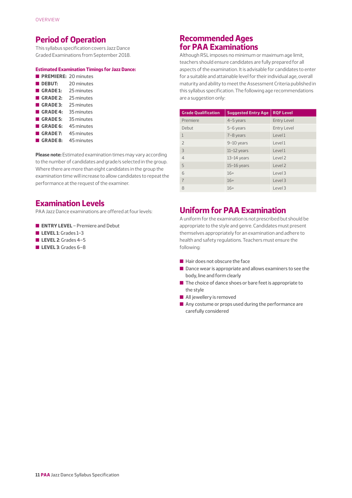#### **Period of Operation**

This syllabus specification covers Jazz Dance Graded Examinations from September 2018.

#### **Estimated Examination Timings for Jazz Dance:**

| PREMIERE: 20 minutes |            |
|----------------------|------------|
| <b>DEBUT:</b>        | 20 minutes |
| GRADE 1:             | 25 minutes |
| GRADE 2:             | 25 minutes |
| GRADE 3:             | 25 minutes |
| GRADE 4:             | 35 minutes |
| GRADE 5:             | 35 minutes |
| GRADE 6:             | 45 minutes |
| GRADE 7:             | 45 minutes |
| GRADE 8:             | 45 minutes |

**Please note:** Estimated examination times may vary according to the number of candidates and grade/s selected in the group. Where there are more than eight candidates in the group the examination time will increase to allow candidates to repeat the performance at the request of the examiner.

#### **Examination Levels**

PAA Jazz Dance examinations are offered at four levels:

- **ENTRY LEVEL** Premiere and Debut
- n **LEVEL 1**: Grades 1–3
- **LEVEL 2**: Grades 4-5
- n **LEVEL 3**: Grades 6–8

#### **Recommended Ages for PAA Examinations**

Although RSL imposes no minimum or maximum age limit, teachers should ensure candidates are fully prepared for all aspects of the examination. It is advisable for candidates to enter for a suitable and attainable level for their individual age, overall maturity and ability to meet the Assessment Criteria published in this syllabus specification. The following age recommendations are a suggestion only:

| <b>Grade Qualification</b> | <b>Suggested Entry Age</b> | <b>RQF Level</b>   |
|----------------------------|----------------------------|--------------------|
| Premiere                   | $4-5$ years                | <b>Entry Level</b> |
| Debut                      | 5-6 years                  | <b>Entry Level</b> |
| 1                          | 7-8 years                  | Level 1            |
| $\overline{\phantom{0}}$   | 9-10 years                 | Level 1            |
| 3                          | $11-12$ years              | Level 1            |
| $\overline{4}$             | $13-14$ years              | Level 2            |
| 5                          | $15-16$ years              | Level 2            |
| 6                          | $16+$                      | Level 3            |
| $\overline{7}$             | $16+$                      | Level 3            |
| $\mathcal{B}$              | $16+$                      | Level 3            |

#### **Uniform for PAA Examination**

A uniform for the examination is not prescribed but should be appropriate to the style and genre. Candidates must present themselves appropriately for an examination and adhere to health and safety regulations. Teachers must ensure the following:

- $\blacksquare$  Hair does not obscure the face
- $\blacksquare$  Dance wear is appropriate and allows examiners to see the body, line and form clearly
- $\blacksquare$  The choice of dance shoes or bare feet is appropriate to the style
- $\blacksquare$  All jewellery is removed
- $\blacksquare$  Any costume or props used during the performance are carefully considered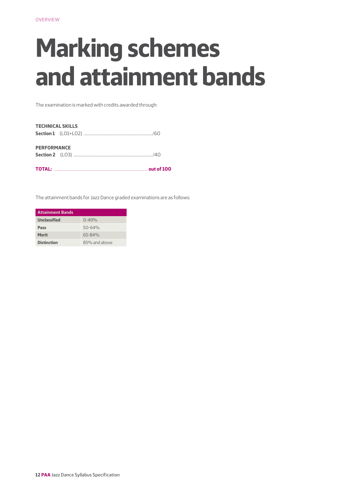## **Marking schemes and attainment bands**

The examination is marked with credits awarded through:

| <b>TECHNICAL SKILLS</b> |                                                                                                                                                                                                                                     |  |
|-------------------------|-------------------------------------------------------------------------------------------------------------------------------------------------------------------------------------------------------------------------------------|--|
|                         |                                                                                                                                                                                                                                     |  |
| <b>PERFORMANCE</b>      |                                                                                                                                                                                                                                     |  |
|                         | <b>TOTAL:</b> 2000 2001 2012 2013 2014 2015 2016 2017 2022 2023 2024 2022 2023 2024 2022 2023 2024 2022 2023 2024 2025 2026 2027 2028 2029 2021 2022 2023 2024 2022 2023 2024 2025 2027 2028 2024 2025 2027 2028 2021 2022 2023 202 |  |

The attainment bands for Jazz Dance graded examinations are as follows:

| <b>Attainment Bands</b> |               |
|-------------------------|---------------|
| <b>Unclassified</b>     | $0 - 49%$     |
| Pass                    | $50 - 64%$    |
| <b>Merit</b>            | $65 - 84%$    |
| <b>Distinction</b>      | 85% and above |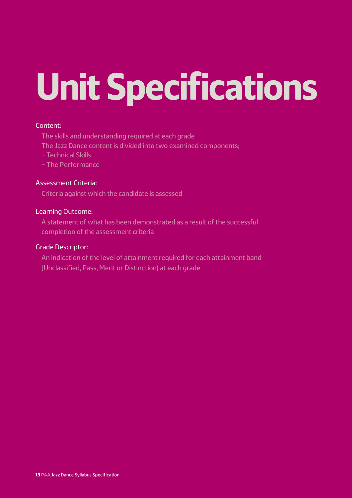# **Unit Specifications**

#### Content:

The skills and understanding required at each grade

- The Jazz Dance content is divided into two examined components;
- Technical Skills
- The Performance

#### Assessment Criteria:

Criteria against which the candidate is assessed

#### Learning Outcome:

A statement of what has been demonstrated as a result of the successful completion of the assessment criteria

#### Grade Descriptor:

An indication of the level of attainment required for each attainment band (Unclassified, Pass, Merit or Distinction) at each grade.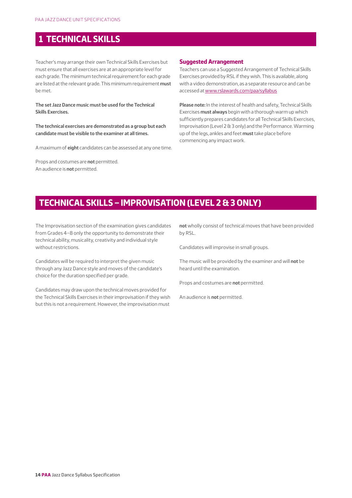#### **1 TECHNICAL SKILLS**

Teacher's may arrange their own Technical Skills Exercises but must ensure that all exercises are at an appropriate level for each grade. The minimum technical requirement for each grade are listed at the relevant grade. This minimum requirement **must** be met.

**The set Jazz Dance music must be used for the Technical Skills Exercises.**

**The technical exercises are demonstrated as a group but each candidate must be visible to the examiner at all times.**

A maximum of **eight** candidates can be assessed at any one time.

Props and costumes are **not** permitted. An audience is **not** permitted.

#### **Suggested Arrangement**

Teachers can use a Suggested Arrangement of Technical Skills Exercises provided by RSL if they wish. This is available, along with a video demonstration, as a separate resource and can be accessed at [www.rslawards.com/paa/syllabus](http://www.rslawards.com/paa/syllabus)

**Please note:** In the interest of health and safety, Technical Skills Exercises **must always** begin with a thorough warm up which sufficiently prepares candidates for all Technical Skills Exercises, Improvisation (Level 2 & 3 only) and the Performance. Warming up of the legs, ankles and feet **must** take place before commencing any impact work.

#### **TECHNICAL SKILLS – IMPROVISATION (LEVEL 2 & 3 ONLY)**

The Improvisation section of the examination gives candidates from Grades 4–8 only the opportunity to demonstrate their technical ability, musicality, creativity and individual style without restrictions.

Candidates will be required to interpret the given music through any Jazz Dance style and moves of the candidate's choice for the duration specified per grade.

Candidates may draw upon the technical moves provided for the Technical Skills Exercises in their improvisation if they wish but this is not a requirement. However, the improvisation must

**not** wholly consist of technical moves that have been provided by RSL.

Candidates will improvise in small groups.

The music will be provided by the examiner and will **not** be heard until the examination.

Props and costumes are **not** permitted.

An audience is **not** permitted.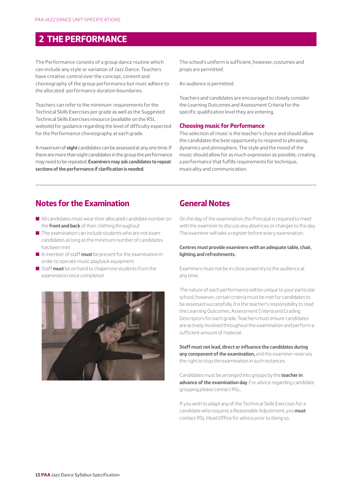#### **2 THE PERFORMANCE**

The Performance consists of a group dance routine which can include any style or variation of Jazz Dance. Teachers have creative control over the concept, content and choreography of the group performance but must adhere to the allocated performance duration boundaries.

Teachers can refer to the minimum requirements for the Technical Skills Exercises per grade as well as the Suggested Technical Skills Exercises resource (available on the RSL website) for guidance regarding the level of difficulty expected for the Performance choreography at each grade.

A maximum of **eight** candidates can be assessed at any one time. If there are more than eight candidates in the group the performance may need to be repeated. **Examiners may ask candidates to repeat sections of the performance if clarification is needed.**

The school's uniform is sufficient, however, costumes and props are permitted.

An audience is permitted.

Teachers and candidates are encouraged to closely consider the Learning Outcomes and Assessment Criteria for the specific qualification level they are entering.

#### **Choosing music for Performance**

The selection of music is the teacher's choice and should allow the candidates the best opportunity to respond to phrasing, dynamics and atmosphere. The style and the mood of the music should allow for as much expression as possible, creating a performance that fulfills requirements for technique, musicality and communication.

#### **Notes for the Examination**

- $\blacksquare$  All candidates must wear their allocated candidate number on the **front and back** of their clothing throughout
- $\blacksquare$  The examination can include students who are not example candidates as long as the minimum number of candidates has been met
- n A member of staff **must** be present for the examination in order to operate music playback equipment
- Staff **must** be on hand to chaperone students from the examination once completed.



#### **General Notes**

On the day of the examination, the Principal is required to meet with the examiner to discuss any absences or changes to the day. The examiner will take a register before every examination.

#### **Centres must provide examiners with an adequate table, chair, lighting and refreshments.**

Examiners must not be in close proximity to the audience at any time.

The nature of each performance will be unique to your particular school, however, certain criteria must be met for candidates to be assessed successfully. It is the teacher's responsibility to read the Learning Outcomes, Assessment Criteria and Grading Descriptors for each grade. Teachers must ensure candidates are actively involved throughout the examination and perform a sufficient amount of material.

**Staff must not lead, direct or influence the candidates during any component of the examination,** and the examiner reserves the right to stop the examination in such instances.

Candidates must be arranged into groups by the **teacher in advance of the examination day**. For advice regarding candidate grouping please contact RSL.

If you wish to adapt any of the Technical Skills Exercises for a candidate who requires a Reasonable Adjustment, you **must** contact RSL Head Office for advice prior to doing so.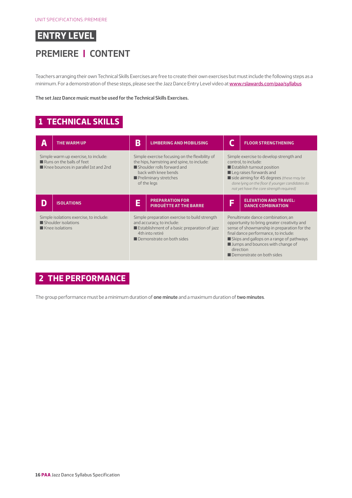## **PREMIERE | CONTENT**

Teachers arranging their own Technical Skills Exercises are free to create their own exercises but must include the following steps as a minimum. For a demonstration of these steps, please see the Jazz Dance Entry Level video at [www.rslawards.com/paa/syllabus](http://www.rslawards.com/paa/syllabus)

**The set Jazz Dance music must be used for the Technical Skills Exercises.**

### **1 TECHNICAL SKILLS**

| Д                                                                                                         | <b>THE WARM UP</b> | В<br><b>LIMBERING AND MOBILISING</b>                                                                                                                                                       |                                                         |                                                                                                                                                                                                                                                                                     | <b>FLOOR STRENGTHENING</b>                                                                                                                                                                                                                                                                          |  |
|-----------------------------------------------------------------------------------------------------------|--------------------|--------------------------------------------------------------------------------------------------------------------------------------------------------------------------------------------|---------------------------------------------------------|-------------------------------------------------------------------------------------------------------------------------------------------------------------------------------------------------------------------------------------------------------------------------------------|-----------------------------------------------------------------------------------------------------------------------------------------------------------------------------------------------------------------------------------------------------------------------------------------------------|--|
| Simple warm up exercise, to include:<br>Runs on the balls of feet<br>Knee bounces in parallel 1st and 2nd |                    | Simple exercise focusing on the flexibility of<br>the hips, hamstring and spine, to include:<br>Shoulder rolls forward and<br>back with knee bends<br>Preliminary stretches<br>of the legs |                                                         | Simple exercise to develop strength and<br>control, to include:<br>Establish turnout position<br>$\blacksquare$ Leg raises forwards and<br>side aiming for 45 degrees (these may be<br>done lying on the floor if younger candidates do<br>not yet have the core strength required) |                                                                                                                                                                                                                                                                                                     |  |
|                                                                                                           | <b>ISOLATIONS</b>  | Ē                                                                                                                                                                                          | <b>PREPARATION FOR</b><br><b>PIROUÉTTE AT THE BARRE</b> | E                                                                                                                                                                                                                                                                                   | <b>ELEVATION AND TRAVEL:</b><br><b>DANCE COMBINATION</b>                                                                                                                                                                                                                                            |  |
| Simple isolations exercise, to include:<br>Shoulder isolations<br>Knee isolations                         |                    | Simple preparation exercise to build strength<br>and accuracy, to include:<br>Establishment of a basic preparation of jazz<br>4th into retiré<br>Demonstrate on both sides                 |                                                         |                                                                                                                                                                                                                                                                                     | Penultimate dance combination; an<br>opportunity to bring greater creativity and<br>sense of showmanship in preparation for the<br>final dance performance, to include:<br>Skips and gallops on a range of pathways<br>I Jumps and bounces with change of<br>direction<br>Demonstrate on both sides |  |

## **2 THE PERFORMANCE**

The group performance must be a minimum duration of **one minute** and a maximum duration of **two minutes**.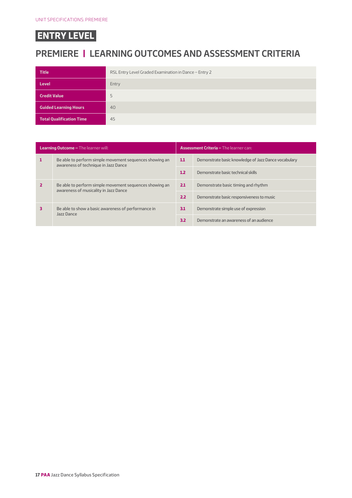## **PREMIERE | LEARNING OUTCOMES AND ASSESSMENT CRITERIA**

| <b>Title</b>                    | RSL Entry Level Graded Examination in Dance - Entry 2 |
|---------------------------------|-------------------------------------------------------|
| <b>Level</b>                    | Entry                                                 |
| <b>Credit Value</b>             | 5                                                     |
| <b>Guided Learning Hours</b>    | 40                                                    |
| <b>Total Qualification Time</b> | 45                                                    |

| <b>Learning Outcome - The learner will:</b> |                                                                                                  |     | <b>Assessment Criteria - The learner can:</b>        |  |  |  |
|---------------------------------------------|--------------------------------------------------------------------------------------------------|-----|------------------------------------------------------|--|--|--|
|                                             | Be able to perform simple movement sequences showing an<br>awareness of technique in Jazz Dance  |     | Demonstrate basic knowledge of Jazz Dance vocabulary |  |  |  |
|                                             |                                                                                                  | 1.2 | Demonstrate basic technical skills                   |  |  |  |
|                                             | Be able to perform simple movement sequences showing an<br>awareness of musicality in Jazz Dance |     | Demonstrate basic timing and rhythm                  |  |  |  |
|                                             |                                                                                                  | 2.2 | Demonstrate basic responsiveness to music            |  |  |  |
|                                             | Be able to show a basic awareness of performance in<br>Jazz Dance                                | 3.1 | Demonstrate simple use of expression                 |  |  |  |
|                                             |                                                                                                  | 3.2 | Demonstrate an awareness of an audience              |  |  |  |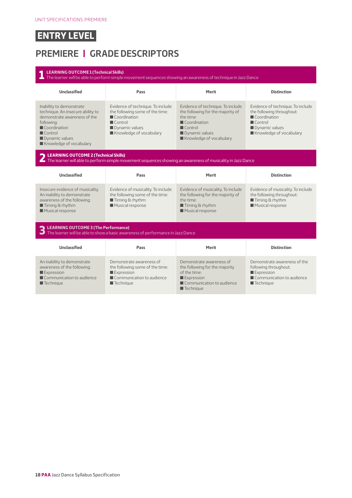## **PREMIERE | GRADE DESCRIPTORS**

| <b>LEARNING OUTCOME 1 (Technical Skills)</b><br>The learner will be able to perform simple movement sequences showing an awareness of technique in Jazz Dance                                      |                                                                                                                                                             |                                                                                                                                                                                           |                                                                                                                                                       |  |  |  |
|----------------------------------------------------------------------------------------------------------------------------------------------------------------------------------------------------|-------------------------------------------------------------------------------------------------------------------------------------------------------------|-------------------------------------------------------------------------------------------------------------------------------------------------------------------------------------------|-------------------------------------------------------------------------------------------------------------------------------------------------------|--|--|--|
| <b>Unclassified</b>                                                                                                                                                                                | Pass                                                                                                                                                        |                                                                                                                                                                                           | <b>Distinction</b>                                                                                                                                    |  |  |  |
| Inability to demonstrate<br>technique. An insecure ability to<br>demonstrate awareness of the<br>following:<br>Coordination<br>$\blacksquare$ Control<br>Dynamic values<br>Knowledge of vocabulary | Evidence of technique. To include<br>the following some of the time:<br>Coordination<br>$\blacksquare$ Control<br>Dynamic values<br>Knowledge of vocabulary | Evidence of technique. To include<br>the following for the majority of<br>the time:<br>$\blacksquare$ Coordination<br>$\blacksquare$ Control<br>Dynamic values<br>Knowledge of vocabulary | Evidence of technique. To include<br>the following throughout:<br>Coordination<br>$\blacksquare$ Control<br>Dynamic values<br>Knowledge of vocabulary |  |  |  |
| LEARNING OUTCOME 2 (Technical Skills)                                                                                                                                                              | The learner will able to perform simple movement sequences showing an awareness of musicality in Jazz Dance                                                 |                                                                                                                                                                                           |                                                                                                                                                       |  |  |  |
| <b>Unclassified</b>                                                                                                                                                                                | Pass                                                                                                                                                        | Merit                                                                                                                                                                                     | <b>Distinction</b>                                                                                                                                    |  |  |  |
| Insecure evidence of musicality.<br>An inability to demonstrate<br>awareness of the following:<br>$\blacksquare$ Timing & rhythm<br>Musical response                                               | Evidence of musicality. To include<br>the following some of the time:<br>$\blacksquare$ Timing & rhythm<br>Musical response                                 | Evidence of musicality. To include<br>the following for the majority of<br>the time:<br>$\blacksquare$ Timing & rhythm<br>Musical response                                                | Evidence of musicality. To include<br>the following throughout:<br>$\blacksquare$ Timing & rhythm<br>Musical response                                 |  |  |  |
| LEARNING OUTCOME 3 (The Performance)                                                                                                                                                               | The learner will be able to show a basic awareness of performance in Jazz Dance                                                                             |                                                                                                                                                                                           |                                                                                                                                                       |  |  |  |
| <b>Unclassified</b>                                                                                                                                                                                | Pass                                                                                                                                                        | Merit                                                                                                                                                                                     | <b>Distinction</b>                                                                                                                                    |  |  |  |
| An inability to demonstrate<br>awareness of the following:<br>Expression<br>Communication to audience<br>$\blacksquare$ Technique                                                                  | Demonstrate awareness of<br>the following some of the time:<br>Expression<br>Communication to audience<br>$\blacksquare$ Technique                          | Demonstrate awareness of<br>the following for the majority<br>of the time:<br>Expression<br>Communication to audience<br>$\blacksquare$ Technique                                         | Demonstrate awareness of the<br>following throughout:<br>Expression<br>Communication to audience<br>$\blacksquare$ Technique                          |  |  |  |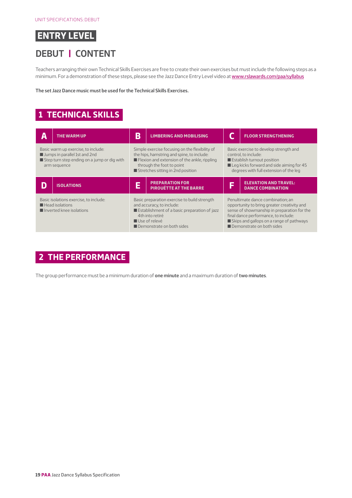#### **DEBUT | CONTENT**

Teachers arranging their own Technical Skills Exercises are free to create their own exercises but must include the following steps as a minimum. For a demonstration of these steps, please see the Jazz Dance Entry Level video at [www.rslawards.com/paa/syllabus](http://www.rslawards.com/paa/syllabus)

**The set Jazz Dance music must be used for the Technical Skills Exercises.**

#### **1 TECHNICAL SKILLS**

| A                                                                                                                                   | THE WARM UP       | В                                                                                                                                                                                                                             | <b>LIMBERING AND MOBILISING</b>                         |                                                                                                                                                                                                                                                  | <b>FLOOR STRENGTHENING</b>                               |
|-------------------------------------------------------------------------------------------------------------------------------------|-------------------|-------------------------------------------------------------------------------------------------------------------------------------------------------------------------------------------------------------------------------|---------------------------------------------------------|--------------------------------------------------------------------------------------------------------------------------------------------------------------------------------------------------------------------------------------------------|----------------------------------------------------------|
| Basic warm up exercise, to include:<br>Jumps in parallel 1st and 2nd<br>Step turn step ending on a jump or dig with<br>arm sequence |                   | Simple exercise focusing on the flexibility of<br>the hips, hamstring and spine, to include:<br>$\blacksquare$ Flexion and extension of the ankle, rippling<br>through the foot to point<br>Stretches sitting in 2nd position |                                                         | Basic exercise to develop strength and<br>control, to include:<br>Establish turnout position<br>Leg kicks forward and side aiming for 45<br>degrees with full extension of the leg                                                               |                                                          |
|                                                                                                                                     | <b>ISOLATIONS</b> | Е                                                                                                                                                                                                                             | <b>PREPARATION FOR</b><br><b>PIROUÉTTE AT THE BARRE</b> | F                                                                                                                                                                                                                                                | <b>ELEVATION AND TRAVEL:</b><br><b>DANCE COMBINATION</b> |
| Basic isolations exercise, to include:<br>$\blacksquare$ Head isolations<br>I Inverted knee isolations                              |                   | Basic preparation exercise to build strength<br>and accuracy, to include:<br>Establishment of a basic preparation of jazz<br>4th into retiré<br>$\blacksquare$ Use of relevé<br>Demonstrate on both sides                     |                                                         | Penultimate dance combination; an<br>opportunity to bring greater creativity and<br>sense of showmanship in preparation for the<br>final dance performance, to include:<br>Skips and gallops on a range of pathways<br>Demonstrate on both sides |                                                          |

#### **2 THE PERFORMANCE**

The group performance must be a minimum duration of **one minute** and a maximum duration of **two minutes**.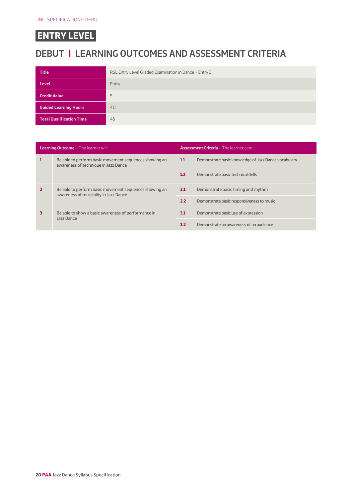## **DEBUT | LEARNING OUTCOMES AND ASSESSMENT CRITERIA**

| <b>Title</b>                    | RSL Entry Level Graded Examination in Dance - Entry 3 |
|---------------------------------|-------------------------------------------------------|
| <b>Level</b>                    | Entry                                                 |
| <b>Credit Value</b>             | 5                                                     |
| <b>Guided Learning Hours</b>    | 40                                                    |
| <b>Total Qualification Time</b> | 45                                                    |

| <b>Learning Outcome - The learner will:</b> |                                                                                                 |  | <b>Assessment Criteria - The learner can:</b>        |  |  |
|---------------------------------------------|-------------------------------------------------------------------------------------------------|--|------------------------------------------------------|--|--|
|                                             | Be able to perform basic movement sequences showing an<br>awareness of technique in Jazz Dance  |  | Demonstrate basic knowledge of Jazz Dance vocabulary |  |  |
|                                             |                                                                                                 |  | Demonstrate basic technical skills                   |  |  |
|                                             | Be able to perform basic movement sequences showing an<br>awareness of musicality in Jazz Dance |  | Demonstrate basic timing and rhythm                  |  |  |
|                                             |                                                                                                 |  | Demonstrate basic responsiveness to music            |  |  |
|                                             | Be able to show a basic awareness of performance in<br>Jazz Dance                               |  | Demonstrate basic use of expression                  |  |  |
|                                             |                                                                                                 |  | Demonstrate an awareness of an audience              |  |  |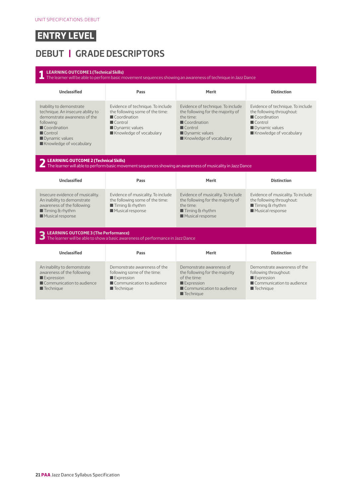## **DEBUT | GRADE DESCRIPTORS**

| <b>LEARNING OUTCOME 1 (Technical Skills)</b><br>The learner will be able to perform basic movement sequences showing an awareness of technique in Jazz Dance                                       |                                                                                                                                                             |                                                                                                                                                                            |                                                                                                                                                       |  |  |  |
|----------------------------------------------------------------------------------------------------------------------------------------------------------------------------------------------------|-------------------------------------------------------------------------------------------------------------------------------------------------------------|----------------------------------------------------------------------------------------------------------------------------------------------------------------------------|-------------------------------------------------------------------------------------------------------------------------------------------------------|--|--|--|
| <b>Unclassified</b>                                                                                                                                                                                | Pass                                                                                                                                                        | <b>Merit</b>                                                                                                                                                               | <b>Distinction</b>                                                                                                                                    |  |  |  |
| Inability to demonstrate<br>technique. An insecure ability to<br>demonstrate awareness of the<br>following:<br>Coordination<br>$\blacksquare$ Control<br>Dynamic values<br>Knowledge of vocabulary | Evidence of technique. To include<br>the following some of the time:<br>Coordination<br>$\blacksquare$ Control<br>Dynamic values<br>Knowledge of vocabulary | Evidence of technique. To include<br>the following for the majority of<br>the time:<br>Coordination<br>$\blacksquare$ Control<br>Dynamic values<br>Knowledge of vocabulary | Evidence of technique. To include<br>the following throughout:<br>Coordination<br>$\blacksquare$ Control<br>Dynamic values<br>Knowledge of vocabulary |  |  |  |
| LEARNING OUTCOME 2 (Technical Skills)<br>The learner will able to perform basic movement sequences showing an awareness of musicality in Jazz Dance                                                |                                                                                                                                                             |                                                                                                                                                                            |                                                                                                                                                       |  |  |  |
| <b>Unclassified</b>                                                                                                                                                                                | Pass                                                                                                                                                        | <b>Merit</b>                                                                                                                                                               | <b>Distinction</b>                                                                                                                                    |  |  |  |
| Insecure evidence of musicality.<br>An inability to demonstrate<br>awareness of the following:<br>$\blacksquare$ Timing & rhythm<br>Musical response                                               | Evidence of musicality. To include<br>the following some of the time:<br>$\blacksquare$ Timing & rhythm<br>Musical response                                 | Evidence of musicality. To include<br>the following for the majority of<br>the time:<br>$\blacksquare$ Timing & rhythm<br>Musical response                                 | Evidence of musicality. To include<br>the following throughout:<br>$\blacksquare$ Timing & rhythm<br>Musical response                                 |  |  |  |
| LEARNING OUTCOME 3 (The Performance)                                                                                                                                                               | The learner will be able to show a basic awareness of performance in Jazz Dance                                                                             |                                                                                                                                                                            |                                                                                                                                                       |  |  |  |
| <b>Unclassified</b>                                                                                                                                                                                | Pass                                                                                                                                                        | Merit                                                                                                                                                                      | <b>Distinction</b>                                                                                                                                    |  |  |  |
| An inability to demonstrate<br>awareness of the following:<br>$\blacksquare$ Expression<br>Communication to audience<br>$\blacksquare$ Technique                                                   | Demonstrate awareness of the<br>following some of the time:<br>Expression<br>Communication to audience<br>$\blacksquare$ Technique                          | Demonstrate awareness of<br>the following for the majority<br>of the time:<br>Expression<br>Communication to audience<br>$\blacksquare$ Technique                          | Demonstrate awareness of the<br>following throughout:<br>Expression<br>Communication to audience<br>$\blacksquare$ Technique                          |  |  |  |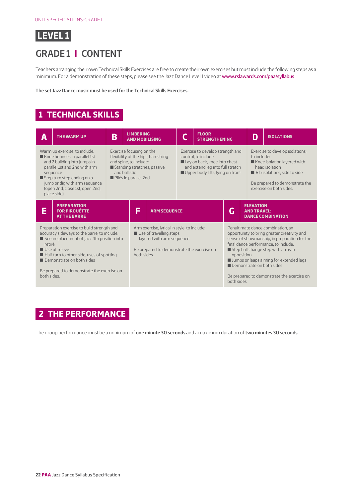

#### **GRADE 1 | CONTENT**

Teachers arranging their own Technical Skills Exercises are free to create their own exercises but must include the following steps as a minimum. For a demonstration of these steps, please see the Jazz Dance Level 1 video at [www.rslawards.com/paa/syllabus](http://www.rslawards.com/paa/syllabus)

**The set Jazz Dance music must be used for the Technical Skills Exercises.**

#### **1 TECHNICAL SKILLS**

| А                                                                                                                                                                                                                                                                                                         | <b>THE WARM UP</b>                                                | B                                               | <b>LIMBERING</b><br><b>AND MOBILISING</b>                                                                                                                                                                                                                         |                                                                                                                                                   |                                                                                                                                                                                              | <b>FLOOR</b><br><b>STRENGTHENING</b> |                           | D                                      | <b>ISOLATIONS</b>                                                                                                                                                                                                                                                                                         |
|-----------------------------------------------------------------------------------------------------------------------------------------------------------------------------------------------------------------------------------------------------------------------------------------------------------|-------------------------------------------------------------------|-------------------------------------------------|-------------------------------------------------------------------------------------------------------------------------------------------------------------------------------------------------------------------------------------------------------------------|---------------------------------------------------------------------------------------------------------------------------------------------------|----------------------------------------------------------------------------------------------------------------------------------------------------------------------------------------------|--------------------------------------|---------------------------|----------------------------------------|-----------------------------------------------------------------------------------------------------------------------------------------------------------------------------------------------------------------------------------------------------------------------------------------------------------|
| Warm up exercise, to include:<br>Knee bounces in parallel 1st<br>and 2 building into jumps in<br>parallel 1st and 2nd with arm<br>and ballistic<br>sequence<br>Step turn step ending on a<br>jump or dig with arm sequence<br>(open 2nd, close 1st, open 2nd,<br>place side)                              |                                                                   | and spine, to include:<br>Pliés in parallel 2nd | Exercise focusing on the<br>Exercise to develop strength and<br>flexibility of the hips, hamstring<br>control, to include:<br>Lay on back, knee into chest<br>Standing stretches, passive<br>and extend leg into full stretch<br>Upper body lifts, lying on front |                                                                                                                                                   | Exercise to develop isolations,<br>to include.<br>Knee isolation layered with<br>head isolation<br>Rib isolations, side to side<br>Be prepared to demonstrate the<br>exercise on both sides. |                                      |                           |                                        |                                                                                                                                                                                                                                                                                                           |
| E                                                                                                                                                                                                                                                                                                         | <b>PREPARATION</b><br><b>FOR PIROUÉTTE</b><br><b>AT THE BARRE</b> |                                                 | E                                                                                                                                                                                                                                                                 | <b>ARM SEQUENCE</b>                                                                                                                               |                                                                                                                                                                                              |                                      | G                         | <b>ELEVATION</b><br><b>AND TRAVEL:</b> | <b>DANCE COMBINATION</b>                                                                                                                                                                                                                                                                                  |
| Preparation exercise to build strength and<br>accuracy sideways to the barre, to include:<br>Secure placement of jazz 4th position into<br>retiré<br>Use of relevé<br>Half turn to other side, uses of spotting<br>Demonstrate on both sides<br>Be prepared to demonstrate the exercise on<br>both sides. |                                                                   |                                                 | both sides.                                                                                                                                                                                                                                                       | Arm exercise, lyrical in style, to include:<br>Use of travelling steps<br>layered with arm sequence<br>Be prepared to demonstrate the exercise on |                                                                                                                                                                                              |                                      | opposition<br>both sides. | Demonstrate on both sides              | Penultimate dance combination, an<br>opportunity to bring greater creativity and<br>sense of showmanship, in preparation for the<br>final dance performance, to include:<br>Step ball change step with arms in<br>I Jumps or leaps aiming for extended legs<br>Be prepared to demonstrate the exercise on |

#### **2 THE PERFORMANCE**

The group performance must be a minimum of **one minute 30 seconds** and a maximum duration of **two minutes 30 seconds**.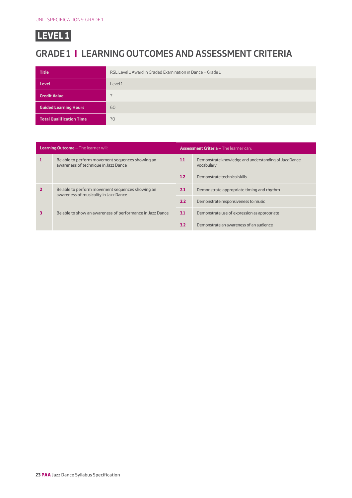## **GRADE 1 | LEARNING OUTCOMES AND ASSESSMENT CRITERIA**

| <b>Title</b>                    | RSL Level 1 Award in Graded Examination in Dance - Grade 1 |
|---------------------------------|------------------------------------------------------------|
| <b>Level</b>                    | Level 1                                                    |
| <b>Credit Value</b>             |                                                            |
| <b>Guided Learning Hours</b>    | 60                                                         |
| <b>Total Qualification Time</b> | 70                                                         |

| <b>Learning Outcome - The learner will:</b> |                                                                                           | <b>Assessment Criteria - The learner can:</b> |                                                                     |  |  |
|---------------------------------------------|-------------------------------------------------------------------------------------------|-----------------------------------------------|---------------------------------------------------------------------|--|--|
|                                             | Be able to perform movement sequences showing an<br>awareness of technique in Jazz Dance  |                                               | Demonstrate knowledge and understanding of Jazz Dance<br>vocabulary |  |  |
|                                             |                                                                                           |                                               | Demonstrate technical skills                                        |  |  |
|                                             | Be able to perform movement sequences showing an<br>awareness of musicality in Jazz Dance |                                               | Demonstrate appropriate timing and rhythm                           |  |  |
|                                             |                                                                                           |                                               | Demonstrate responsiveness to music                                 |  |  |
|                                             | Be able to show an awareness of performance in Jazz Dance                                 |                                               | Demonstrate use of expression as appropriate                        |  |  |
|                                             |                                                                                           |                                               | Demonstrate an awareness of an audience                             |  |  |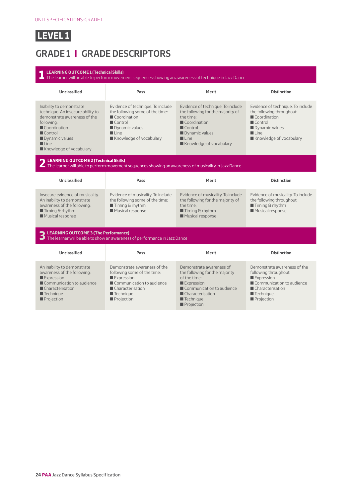## **GRADE 1 | GRADE DESCRIPTORS**

| <b>LEARNING OUTCOME 1 (Technical Skills)</b><br>The learner will be able to perform movement sequences showing an awareness of technique in Jazz Dance                                                                    |                                                                                                                                                                                                   |                                                                                                                                                                                                   |                                                                                                                                                                              |  |  |
|---------------------------------------------------------------------------------------------------------------------------------------------------------------------------------------------------------------------------|---------------------------------------------------------------------------------------------------------------------------------------------------------------------------------------------------|---------------------------------------------------------------------------------------------------------------------------------------------------------------------------------------------------|------------------------------------------------------------------------------------------------------------------------------------------------------------------------------|--|--|
| <b>Unclassified</b>                                                                                                                                                                                                       | Pass                                                                                                                                                                                              | Merit                                                                                                                                                                                             | <b>Distinction</b>                                                                                                                                                           |  |  |
| Inability to demonstrate<br>technique. An insecure ability to<br>demonstrate awareness of the<br>following:<br>Coordination<br>$\blacksquare$ Control<br>Dynamic values<br>$\blacksquare$ Line<br>Knowledge of vocabulary | Evidence of technique. To include<br>the following some of the time:<br>$\blacksquare$ Coordination<br>$\blacksquare$ Control<br>Dynamic values<br>$\blacksquare$ Line<br>Knowledge of vocabulary | Evidence of technique. To include<br>the following for the majority of<br>the time:<br>Coordination<br>$\blacksquare$ Control<br>Dynamic values<br>$\blacksquare$ Line<br>Knowledge of vocabulary | Evidence of technique. To include<br>the following throughout:<br>Coordination<br>$\blacksquare$ Control<br>Dynamic values<br>$\blacksquare$ Line<br>Knowledge of vocabulary |  |  |
| LEARNING OUTCOME 2 (Technical Skills)<br>The learner will able to perform movement sequences showing an awareness of musicality in Jazz Dance                                                                             |                                                                                                                                                                                                   |                                                                                                                                                                                                   |                                                                                                                                                                              |  |  |
| <b>Unclassified</b>                                                                                                                                                                                                       | Pass                                                                                                                                                                                              | Merit                                                                                                                                                                                             | <b>Distinction</b>                                                                                                                                                           |  |  |
| Insecure evidence of musicality.<br>An inability to demonstrate<br>awareness of the following:<br>$\blacksquare$ Timing & rhythm<br>Musical response                                                                      | Evidence of musicality. To include<br>the following some of the time:<br>$\blacksquare$ Timing & rhythm<br>Musical response                                                                       | Evidence of musicality. To include<br>the following for the majority of<br>the time:<br>$\blacksquare$ Timing & rhythm<br>Musical response                                                        | Evidence of musicality. To include<br>the following throughout:<br>$\blacksquare$ Timing & rhythm<br>Musical response                                                        |  |  |
| <b>LEARNING OUTCOME 3 (The Performance)</b>                                                                                                                                                                               | The learner will be able to show an awareness of performance in Jazz Dance                                                                                                                        |                                                                                                                                                                                                   |                                                                                                                                                                              |  |  |
| <b>Unclassified</b>                                                                                                                                                                                                       | Pass                                                                                                                                                                                              | Merit                                                                                                                                                                                             | <b>Distinction</b>                                                                                                                                                           |  |  |
| An inability to demonstrate<br>awareness of the following:<br>Expression<br>Communication to audience<br>■ Characterisation<br>$\blacksquare$ Technique<br>Projection                                                     | Demonstrate awareness of the<br>following some of the time:<br>Expression<br>Communication to audience<br>■ Characterisation<br>$\blacksquare$ Technique<br>Projection                            | Demonstrate awareness of<br>the following for the majority<br>of the time:<br>Expression<br>Communication to audience<br>Characterisation<br>$\blacksquare$ Technique<br>Projection               | Demonstrate awareness of the<br>following throughout:<br>Expression<br>Communication to audience<br>Characterisation<br>$\blacksquare$ Technique<br><b>Projection</b>        |  |  |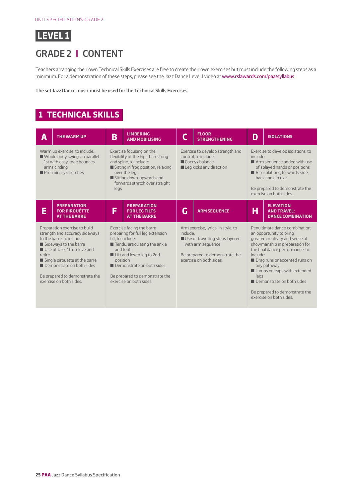

## **GRADE 2 | CONTENT**

Teachers arranging their own Technical Skills Exercises are free to create their own exercises but must include the following steps as a minimum. For a demonstration of these steps, please see the Jazz Dance Level 1 video at [www.rslawards.com/paa/syllabus](http://www.rslawards.com/paa/syllabus)

**The set Jazz Dance music must be used for the Technical Skills Exercises.**

#### **1 TECHNICAL SKILLS**

| Α                                                                                                                                                                                                                                                                                         | <b>THE WARM UP</b>                                                | B                                                                                                                                                                                                                                                                                 | <b>LIMBERING</b><br><b>AND MOBILISING</b>                         |                                                                                                                                                         | <b>FLOOR</b><br><b>STRENGTHENING</b> | D                                                                                                                                                                                                                                                                                                                                             | <b>ISOLATIONS</b>                                                  |
|-------------------------------------------------------------------------------------------------------------------------------------------------------------------------------------------------------------------------------------------------------------------------------------------|-------------------------------------------------------------------|-----------------------------------------------------------------------------------------------------------------------------------------------------------------------------------------------------------------------------------------------------------------------------------|-------------------------------------------------------------------|---------------------------------------------------------------------------------------------------------------------------------------------------------|--------------------------------------|-----------------------------------------------------------------------------------------------------------------------------------------------------------------------------------------------------------------------------------------------------------------------------------------------------------------------------------------------|--------------------------------------------------------------------|
| Warm up exercise, to include:<br>Whole body swings in parallel<br>1st with easy knee bounces.<br>arms circling<br>Preliminary stretches                                                                                                                                                   |                                                                   | Exercise focusing on the<br>flexibility of the hips, hamstring<br>and spine, to include:<br>Sitting in frog position, relaxing<br>over the legs<br>Sitting down, upwards and<br>forwards stretch over straight<br>legs                                                            |                                                                   | Exercise to develop strength and<br>control, to include:<br>Coccyx balance<br>Leg kicks any direction                                                   |                                      | Exercise to develop isolations, to<br>include:<br>Arm sequence added with use<br>of splayed hands or positions<br>Rib isolations, forwards, side,<br>back and circular<br>Be prepared to demonstrate the<br>exercise on both sides.                                                                                                           |                                                                    |
| E                                                                                                                                                                                                                                                                                         | <b>PREPARATION</b><br><b>FOR PIROUÉTTE</b><br><b>AT THE BARRE</b> | F                                                                                                                                                                                                                                                                                 | <b>PREPARATION</b><br><b>FOR LEG TILTS</b><br><b>AT THE BARRE</b> | G                                                                                                                                                       | <b>ARM SEQUENCE</b>                  | Н                                                                                                                                                                                                                                                                                                                                             | <b>ELEVATION</b><br><b>AND TRAVEL:</b><br><b>DANCE COMBINATION</b> |
| Preparation exercise to build<br>strength and accuracy sideways<br>to the barre, to include:<br>Sideways to the barre<br>Use of Jazz 4th, relevé and<br>retiré<br>Single pirouétte at the barre<br>Demonstrate on both sides<br>Be prepared to demonstrate the<br>exercise on both sides. |                                                                   | Exercise facing the barre<br>preparing for full leg extension<br>tilt. to include:<br>$\blacksquare$ Tendu, articulating the ankle<br>and foot<br>Lift and lower leg to 2nd<br>position<br>Demonstrate on both sides<br>Be prepared to demonstrate the<br>exercise on both sides. | include:                                                          | Arm exercise, lyrical in style, to<br>Use of travelling steps layered<br>with arm sequence<br>Be prepared to demonstrate the<br>exercise on both sides. | include:<br>legs                     | Penultimate dance combination;<br>an opportunity to bring<br>greater creativity and sense of<br>showmanship in preparation for<br>the final dance performance, to<br>Drag runs or accented runs on<br>any pathway<br>I Jumps or leaps with extended<br>Demonstrate on both sides<br>Be prepared to demonstrate the<br>exercise on both sides. |                                                                    |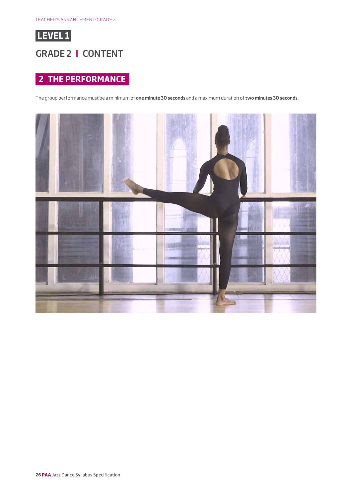

#### **GRADE 2 | CONTENT**

#### **2 THE PERFORMANCE**

The group performance must be a minimum of **one minute 30 seconds** and a maximum duration of **two minutes 30 seconds**.

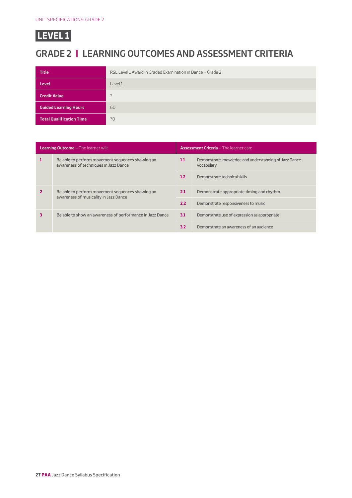## **GRADE 2 | LEARNING OUTCOMES AND ASSESSMENT CRITERIA**

| <b>Title</b>                    | RSL Level 1 Award in Graded Examination in Dance - Grade 2 |
|---------------------------------|------------------------------------------------------------|
| <b>Level</b>                    | Level 1                                                    |
| <b>Credit Value</b>             |                                                            |
| <b>Guided Learning Hours</b>    | 60                                                         |
| <b>Total Qualification Time</b> | 70                                                         |

|   | <b>Learning Outcome - The learner will:</b>                                               | <b>Assessment Criteria - The learner can:</b> |                                                                     |  |
|---|-------------------------------------------------------------------------------------------|-----------------------------------------------|---------------------------------------------------------------------|--|
|   | Be able to perform movement sequences showing an<br>awareness of techniques in Jazz Dance |                                               | Demonstrate knowledge and understanding of Jazz Dance<br>vocabulary |  |
|   |                                                                                           |                                               | Demonstrate technical skills                                        |  |
|   | Be able to perform movement sequences showing an<br>awareness of musicality in Jazz Dance |                                               | Demonstrate appropriate timing and rhythm                           |  |
|   |                                                                                           |                                               | Demonstrate responsiveness to music                                 |  |
| 3 | Be able to show an awareness of performance in Jazz Dance                                 |                                               | Demonstrate use of expression as appropriate                        |  |
|   |                                                                                           | 3.2                                           | Demonstrate an awareness of an audience                             |  |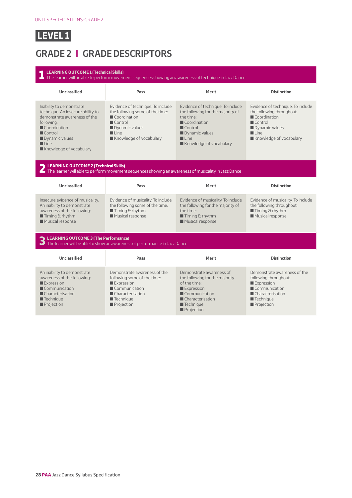## **GRADE 2 | GRADE DESCRIPTORS**

| <b>LEARNING OUTCOME 1 (Technical Skills)</b>                                                                                                                                                                              | $\blacksquare$ The learner will be able to perform movement sequences showing an awareness of technique in Jazz Dance                                                                             |                                                                                                                                                                                                   |                                                                                                                                                                              |
|---------------------------------------------------------------------------------------------------------------------------------------------------------------------------------------------------------------------------|---------------------------------------------------------------------------------------------------------------------------------------------------------------------------------------------------|---------------------------------------------------------------------------------------------------------------------------------------------------------------------------------------------------|------------------------------------------------------------------------------------------------------------------------------------------------------------------------------|
| <b>Unclassified</b>                                                                                                                                                                                                       | Pass                                                                                                                                                                                              | Merit                                                                                                                                                                                             | <b>Distinction</b>                                                                                                                                                           |
| Inability to demonstrate<br>technique. An insecure ability to<br>demonstrate awareness of the<br>following:<br>Coordination<br>$\blacksquare$ Control<br>Dynamic values<br>$\blacksquare$ Line<br>Knowledge of vocabulary | Evidence of technique. To include<br>the following some of the time:<br>$\blacksquare$ Coordination<br>$\blacksquare$ Control<br>Dynamic values<br>$\blacksquare$ Line<br>Knowledge of vocabulary | Evidence of technique. To include<br>the following for the majority of<br>the time:<br>Coordination<br>$\blacksquare$ Control<br>Dynamic values<br>$\blacksquare$ Line<br>Knowledge of vocabulary | Evidence of technique. To include<br>the following throughout:<br>Coordination<br>$\blacksquare$ Control<br>Dynamic values<br>$\blacksquare$ Line<br>Knowledge of vocabulary |
| LEARNING OUTCOME 2 (Technical Skills)                                                                                                                                                                                     | The learner will able to perform movement sequences showing an awareness of musicality in Jazz Dance                                                                                              |                                                                                                                                                                                                   |                                                                                                                                                                              |
| <b>Unclassified</b>                                                                                                                                                                                                       | Pass                                                                                                                                                                                              | Merit                                                                                                                                                                                             | <b>Distinction</b>                                                                                                                                                           |
| Insecure evidence of musicality.<br>An inability to demonstrate<br>awareness of the following:<br>$\blacksquare$ Timing & rhythm<br>Musical response                                                                      | Evidence of musicality. To include<br>the following some of the time:<br>$\blacksquare$ Timing & rhythm<br>Musical response                                                                       |                                                                                                                                                                                                   | Evidence of musicality. To include<br>the following throughout:<br>$\blacksquare$ Timing & rhythm<br>Musical response                                                        |
| LEARNING OUTCOME 3 (The Performance)                                                                                                                                                                                      | $\Box$ The learner will be able to show an awareness of performance in Jazz Dance                                                                                                                 |                                                                                                                                                                                                   |                                                                                                                                                                              |
| <b>Unclassified</b>                                                                                                                                                                                                       | Pass                                                                                                                                                                                              | Merit                                                                                                                                                                                             | <b>Distinction</b>                                                                                                                                                           |
| An inability to demonstrate<br>awareness of the following:<br>Expression<br>Communication<br>$\blacksquare$ Characterisation<br>$\blacksquare$ Technique<br>Projection                                                    | Demonstrate awareness of the<br>following some of the time:<br>Expression<br>Communication<br>■ Characterisation<br>$\blacksquare$ Technique<br>Projection                                        | Demonstrate awareness of<br>the following for the majority<br>of the time:<br>Expression<br>$\blacksquare$ Communication<br>Characterisation<br>$\blacksquare$ Technique<br>Projection            | Demonstrate awareness of the<br>following throughout:<br>Expression<br>Communication<br>Characterisation<br>$\blacksquare$ Technique<br>Projection                           |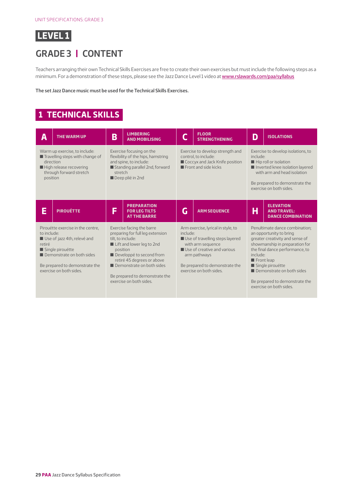

## **GRADE 3 | CONTENT**

Teachers arranging their own Technical Skills Exercises are free to create their own exercises but must include the following steps as a minimum. For a demonstration of these steps, please see the Jazz Dance Level 1 video at [www.rslawards.com/paa/syllabus](http://www.rslawards.com/paa/syllabus)

**The set Jazz Dance music must be used for the Technical Skills Exercises.**

#### **1 TECHNICAL SKILLS**

| А                                                                                                                                                                                                                                                                                                                                                                                                                                                                                          | <b>THE WARM UP</b>                                                                                                                                                                                                                                                                                           | B | <b>LIMBERING</b><br><b>AND MOBILISING</b>                                                                                         |                                                                                                                                                                                                        | <b>FLOOR</b><br><b>STRENGTHENING</b>                                                                                                                                                                                  | D                                                                                                                                                                                                                                                                               | <b>ISOLATIONS</b>                                                  |
|--------------------------------------------------------------------------------------------------------------------------------------------------------------------------------------------------------------------------------------------------------------------------------------------------------------------------------------------------------------------------------------------------------------------------------------------------------------------------------------------|--------------------------------------------------------------------------------------------------------------------------------------------------------------------------------------------------------------------------------------------------------------------------------------------------------------|---|-----------------------------------------------------------------------------------------------------------------------------------|--------------------------------------------------------------------------------------------------------------------------------------------------------------------------------------------------------|-----------------------------------------------------------------------------------------------------------------------------------------------------------------------------------------------------------------------|---------------------------------------------------------------------------------------------------------------------------------------------------------------------------------------------------------------------------------------------------------------------------------|--------------------------------------------------------------------|
|                                                                                                                                                                                                                                                                                                                                                                                                                                                                                            | Warm up exercise, to include:<br>Exercise focusing on the<br>Travelling steps with change of<br>flexibility of the hips, hamstring<br>and spine, to include:<br>direction<br>Standing parallel 2nd, forward<br>High release recovering<br>through forward stretch<br>stretch<br>Deep plié in 2nd<br>position |   | Exercise to develop strength and<br>control, to include:<br>Coccyx and Jack Knife position<br>$\blacksquare$ Front and side kicks |                                                                                                                                                                                                        | Exercise to develop isolations, to<br>include:<br>$\blacksquare$ Hip roll or isolation<br>Inverted knee isolation layered<br>with arm and head isolation<br>Be prepared to demonstrate the<br>exercise on both sides. |                                                                                                                                                                                                                                                                                 |                                                                    |
| E                                                                                                                                                                                                                                                                                                                                                                                                                                                                                          | <b>PIROUÉTTE</b>                                                                                                                                                                                                                                                                                             | Ġ | <b>PREPARATION</b><br><b>FOR LEG TILTS</b><br><b>AT THE BARRE</b>                                                                 | G                                                                                                                                                                                                      | <b>ARM SEQUENCE</b>                                                                                                                                                                                                   | н                                                                                                                                                                                                                                                                               | <b>ELEVATION</b><br><b>AND TRAVEL:</b><br><b>DANCE COMBINATION</b> |
| Pirouétte exercise in the centre,<br>Exercise facing the barre<br>to include:<br>preparing for full leg extension<br>Use of jazz 4th, relevé and<br>tilt. to include:<br>Lift and lower leg to 2nd<br>retiré<br>Single pirouétte<br>position<br>Developpé to second from<br>Demonstrate on both sides<br>retiré 45 degrees or above<br>Demonstrate on both sides<br>Be prepared to demonstrate the<br>exercise on both sides.<br>Be prepared to demonstrate the<br>exercise on both sides. |                                                                                                                                                                                                                                                                                                              |   | include:                                                                                                                          | Arm exercise, lyrical in style, to<br>Use of travelling steps layered<br>with arm sequence<br>Use of creative and various<br>arm pathways<br>Be prepared to demonstrate the<br>exercise on both sides. | include:<br>$\blacksquare$ Front leap                                                                                                                                                                                 | Penultimate dance combination;<br>an opportunity to bring<br>greater creativity and sense of<br>showmanship in preparation for<br>the final dance performance, to<br>Single pirouétte<br>Demonstrate on both sides<br>Be prepared to demonstrate the<br>exercise on both sides. |                                                                    |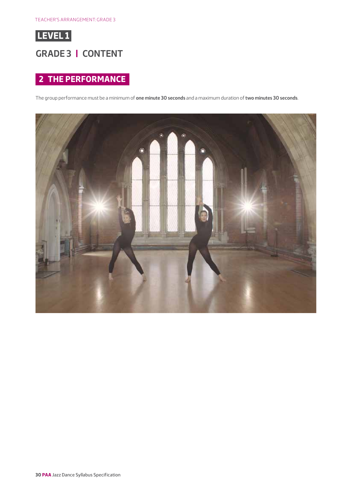

#### **GRADE 3 | CONTENT**

#### **2 THE PERFORMANCE**

The group performance must be a minimum of **one minute 30 seconds** and a maximum duration of **two minutes 30 seconds**.

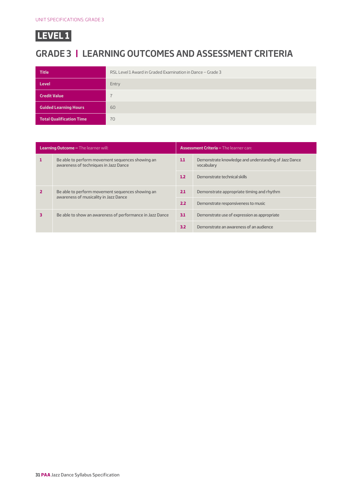## **GRADE 3 | LEARNING OUTCOMES AND ASSESSMENT CRITERIA**

| <b>Title</b>                    | RSL Level 1 Award in Graded Examination in Dance - Grade 3 |
|---------------------------------|------------------------------------------------------------|
| <b>Level</b>                    | Entry                                                      |
| <b>Credit Value</b>             |                                                            |
| <b>Guided Learning Hours</b>    | 60                                                         |
| <b>Total Qualification Time</b> | 70                                                         |

| <b>Learning Outcome - The learner will:</b> |                                                                                           |     | <b>Assessment Criteria - The learner can:</b>                       |  |  |  |
|---------------------------------------------|-------------------------------------------------------------------------------------------|-----|---------------------------------------------------------------------|--|--|--|
|                                             | Be able to perform movement sequences showing an<br>awareness of techniques in Jazz Dance |     | Demonstrate knowledge and understanding of Jazz Dance<br>vocabulary |  |  |  |
|                                             |                                                                                           |     | Demonstrate technical skills                                        |  |  |  |
|                                             | Be able to perform movement sequences showing an<br>awareness of musicality in Jazz Dance |     | Demonstrate appropriate timing and rhythm                           |  |  |  |
|                                             |                                                                                           |     | Demonstrate responsiveness to music                                 |  |  |  |
|                                             | Be able to show an awareness of performance in Jazz Dance                                 |     | Demonstrate use of expression as appropriate                        |  |  |  |
|                                             |                                                                                           | 3.2 | Demonstrate an awareness of an audience                             |  |  |  |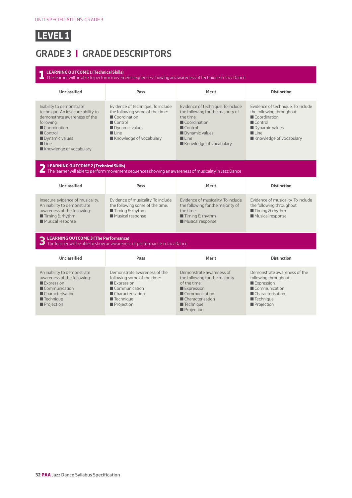## **GRADE 3 | GRADE DESCRIPTORS**

| <b>LEARNING OUTCOME 1 (Technical Skills)</b><br>The learner will be able to perform movement sequences showing an awareness of technique in Jazz Dance                                                                    |                                                                                                                                                                                                                                                                           |                                                                                                                                                                                                   |                                                                                                                       |                                                                                                                                                                              |  |  |  |  |
|---------------------------------------------------------------------------------------------------------------------------------------------------------------------------------------------------------------------------|---------------------------------------------------------------------------------------------------------------------------------------------------------------------------------------------------------------------------------------------------------------------------|---------------------------------------------------------------------------------------------------------------------------------------------------------------------------------------------------|-----------------------------------------------------------------------------------------------------------------------|------------------------------------------------------------------------------------------------------------------------------------------------------------------------------|--|--|--|--|
| <b>Unclassified</b>                                                                                                                                                                                                       | Pass                                                                                                                                                                                                                                                                      | <b>Merit</b>                                                                                                                                                                                      | <b>Distinction</b>                                                                                                    |                                                                                                                                                                              |  |  |  |  |
| Inability to demonstrate<br>technique. An insecure ability to<br>demonstrate awareness of the<br>following:<br>Coordination<br>$\blacksquare$ Control<br>Dynamic values<br>$\blacksquare$ Line<br>Knowledge of vocabulary | Evidence of technique. To include<br>the following some of the time:<br>Coordination<br>$\blacksquare$ Control<br>Dynamic values<br>$\blacksquare$ Line<br>Knowledge of vocabulary                                                                                        | Evidence of technique. To include<br>the following for the majority of<br>the time:<br>Coordination<br>$\blacksquare$ Control<br>Dynamic values<br>$\blacksquare$ Line<br>Knowledge of vocabulary |                                                                                                                       | Evidence of technique. To include<br>the following throughout:<br>Coordination<br>$\blacksquare$ Control<br>Dynamic values<br>$\blacksquare$ Line<br>Knowledge of vocabulary |  |  |  |  |
|                                                                                                                                                                                                                           | LEARNING OUTCOME 2 (Technical Skills)<br>The learner will able to perform movement sequences showing an awareness of musicality in Jazz Dance                                                                                                                             |                                                                                                                                                                                                   |                                                                                                                       |                                                                                                                                                                              |  |  |  |  |
| <b>Unclassified</b>                                                                                                                                                                                                       | Pass                                                                                                                                                                                                                                                                      | Merit                                                                                                                                                                                             | <b>Distinction</b>                                                                                                    |                                                                                                                                                                              |  |  |  |  |
| Insecure evidence of musicality.<br>An inability to demonstrate<br>awareness of the following:<br>$\blacksquare$ Timing & rhythm<br>Musical response                                                                      | Evidence of musicality. To include<br>Evidence of musicality. To include<br>the following some of the time:<br>the following for the majority of<br>$\blacksquare$ Timing & rhythm<br>the time:<br>Musical response<br>$\blacksquare$ Timing & rhythm<br>Musical response |                                                                                                                                                                                                   | Evidence of musicality. To include<br>the following throughout:<br>$\blacksquare$ Timing & rhythm<br>Musical response |                                                                                                                                                                              |  |  |  |  |
| LEARNING OUTCOME 3 (The Performance)<br>$\Box$ The learner will be able to show an awareness of performance in Jazz Dance                                                                                                 |                                                                                                                                                                                                                                                                           |                                                                                                                                                                                                   |                                                                                                                       |                                                                                                                                                                              |  |  |  |  |
|                                                                                                                                                                                                                           |                                                                                                                                                                                                                                                                           |                                                                                                                                                                                                   |                                                                                                                       |                                                                                                                                                                              |  |  |  |  |
| <b>Unclassified</b>                                                                                                                                                                                                       | Pass                                                                                                                                                                                                                                                                      | Merit                                                                                                                                                                                             | <b>Distinction</b>                                                                                                    |                                                                                                                                                                              |  |  |  |  |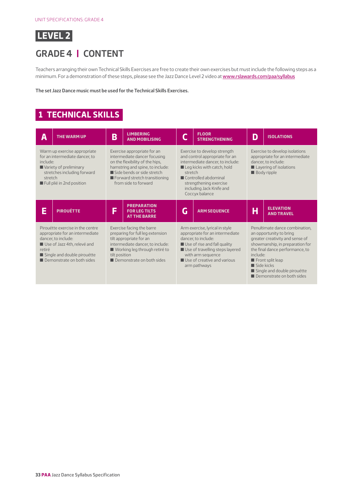

#### **GRADE 4 | CONTENT**

Teachers arranging their own Technical Skills Exercises are free to create their own exercises but must include the following steps as a minimum. For a demonstration of these steps, please see the Jazz Dance Level 2 video at [www.rslawards.com/paa/syllabus](http://www.rslawards.com/paa/syllabus)

**The set Jazz Dance music must be used for the Technical Skills Exercises.**

## **1 TECHNICAL SKILLS**

| Α                                                                                                                                                                                               | <b>THE WARM UP</b>                                                                                                                                   | B                                                                                                                                                                                                                                                                                                                                                                                                                                                                                       | <b>LIMBERING</b><br><b>AND MOBILISING</b>                                                                                                                                                                   |                                                                                                                                          | <b>FLOOR</b><br><b>STRENGTHENING</b>                                                                                                                                                                                            | D | <b>ISOLATIONS</b>                                                                                                                                                                                                                                                                                          |  |
|-------------------------------------------------------------------------------------------------------------------------------------------------------------------------------------------------|------------------------------------------------------------------------------------------------------------------------------------------------------|-----------------------------------------------------------------------------------------------------------------------------------------------------------------------------------------------------------------------------------------------------------------------------------------------------------------------------------------------------------------------------------------------------------------------------------------------------------------------------------------|-------------------------------------------------------------------------------------------------------------------------------------------------------------------------------------------------------------|------------------------------------------------------------------------------------------------------------------------------------------|---------------------------------------------------------------------------------------------------------------------------------------------------------------------------------------------------------------------------------|---|------------------------------------------------------------------------------------------------------------------------------------------------------------------------------------------------------------------------------------------------------------------------------------------------------------|--|
| include:<br>stretch                                                                                                                                                                             | Warm up exercise appropriate<br>for an intermediate dancer, to<br>Variety of preliminary<br>stretches including forward<br>Full plié in 2nd position | Exercise to develop strength<br>Exercise appropriate for an<br>intermediate dancer focusing<br>and control appropriate for an<br>on the flexibility of the hips.<br>intermediate dancer, to include:<br>hamstring and spine, to include:<br>Leg kicks with catch, hold<br>Side bends or side stretch<br>stretch<br>Forward stretch transitioning<br>$\blacksquare$ Controlled abdominal<br>from side to forward<br>strengthening exercise<br>including Jack Knife and<br>Coccyx balance |                                                                                                                                                                                                             | Exercise to develop isolations<br>appropriate for an intermediate<br>dancer, to include:<br>Layering of isolations<br><b>Body</b> ripple |                                                                                                                                                                                                                                 |   |                                                                                                                                                                                                                                                                                                            |  |
| E                                                                                                                                                                                               | <b>PIROUÉTTE</b>                                                                                                                                     | F                                                                                                                                                                                                                                                                                                                                                                                                                                                                                       | <b>PREPARATION</b><br><b>FOR LEG TILTS</b><br><b>AT THE BARRE</b>                                                                                                                                           | G                                                                                                                                        | <b>ARM SEQUENCE</b>                                                                                                                                                                                                             | Η | <b>ELEVATION</b><br><b>AND TRAVEL</b>                                                                                                                                                                                                                                                                      |  |
| Pirouétte exercise in the centre<br>appropriate for an intermediate<br>dancer, to include:<br>Use of Jazz 4th, relevé and<br>retiré<br>Single and double pirouétte<br>Demonstrate on both sides |                                                                                                                                                      |                                                                                                                                                                                                                                                                                                                                                                                                                                                                                         | Exercise facing the barre<br>preparing for full leg extension<br>tilt appropriate for an<br>intermediate dancer, to include:<br>Working leg through retiré to<br>tilt position<br>Demonstrate on both sides |                                                                                                                                          | Arm exercise, lyrical in style<br>appropriate for an intermediate<br>dancer, to include:<br>Use of rise and fall quality<br>Use of travelling steps layered<br>with arm sequence<br>Use of creative and various<br>arm pathways |   | Penultimate dance combination,<br>an opportunity to bring<br>greater creativity and sense of<br>showmanship, in preparation for<br>the final dance performance, to<br>include:<br>$\blacksquare$ Front split leap<br>$\blacksquare$ Side kicks<br>Single and double pirouétte<br>Demonstrate on both sides |  |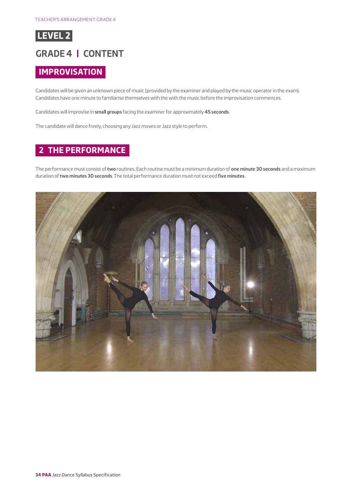

#### **GRADE 4 | CONTENT**

#### **IMPROVISATION**

Candidates will be given an unknown piece of music (provided by the examiner and played by the music operator in the exam). Candidates have one minute to familiarise themselves with the with the music before the improvisation commences.

Candidates will improvise in **small groups** facing the examiner for approximately **45 seconds**.

The candidate will dance freely, choosing any Jazz moves or Jazz style to perform.

#### **2 THE PERFORMANCE**

The performance must consist of **two** routines. Each routine must be a minimum duration of **one minute 30 seconds** and a maximum duration of **two minutes 30 seconds**. The total performance duration must not exceed **five minutes**.

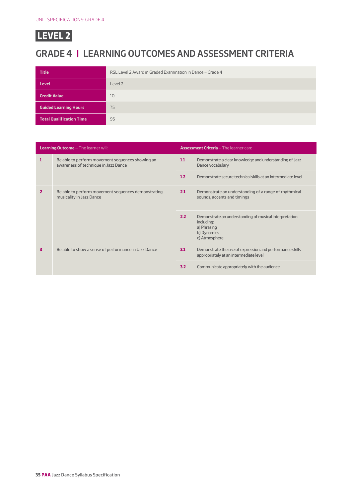## **GRADE 4 | LEARNING OUTCOMES AND ASSESSMENT CRITERIA**

| <b>Title</b>                    | RSL Level 2 Award in Graded Examination in Dance - Grade 4 |
|---------------------------------|------------------------------------------------------------|
| <b>Level</b>                    | Level 2                                                    |
| <b>Credit Value</b>             | 10                                                         |
| <b>Guided Learning Hours</b>    | 75                                                         |
| <b>Total Qualification Time</b> | 95                                                         |

| <b>Learning Outcome - The learner will:</b> |                                                                                                        | <b>Assessment Criteria - The learner can:</b> |                                                                                                                     |  |  |
|---------------------------------------------|--------------------------------------------------------------------------------------------------------|-----------------------------------------------|---------------------------------------------------------------------------------------------------------------------|--|--|
| 1                                           | Be able to perform movement sequences showing an<br>1.1<br>awareness of technique in Jazz Dance<br>1.2 |                                               | Demonstrate a clear knowledge and understanding of Jazz<br>Dance vocabulary                                         |  |  |
|                                             |                                                                                                        |                                               | Demonstrate secure technical skills at an intermediate level                                                        |  |  |
| $\overline{2}$                              | Be able to perform movement sequences demonstrating<br>musicality in Jazz Dance                        |                                               | Demonstrate an understanding of a range of rhythmical<br>sounds, accents and timings                                |  |  |
|                                             |                                                                                                        | 2.2                                           | Demonstrate an understanding of musical interpretation<br>including:<br>a) Phrasing<br>b) Dynamics<br>c) Atmosphere |  |  |
| 3                                           | Be able to show a sense of performance in Jazz Dance                                                   |                                               | Demonstrate the use of expression and performance skills<br>appropriately at an intermediate level                  |  |  |
|                                             |                                                                                                        | 3.2                                           | Communicate appropriately with the audience                                                                         |  |  |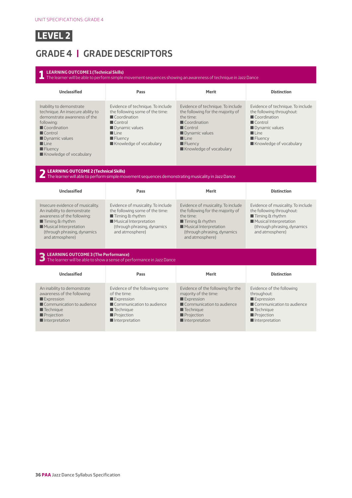

## **GRADE 4 | GRADE DESCRIPTORS**

#### **1 LEARNING OUTCOME 1 (Technical Skills)** The learner will be able to perform simple movement sequences showing an awareness of technique in Jazz Dance **Unclassified Pass Merit Distinction** Inability to demonstrate technique. An insecure ability to demonstrate awareness of the following:  $\blacksquare$  Coordination **Control**  $\blacksquare$  Dynamic values  $\blacksquare$  Line  $\blacksquare$  Fluency  $\blacksquare$  Knowledge of vocabulary Evidence of technique. To include the following some of the time:  $\blacksquare$  Coordination  $\blacksquare$  Control **Dynamic values**  $\blacksquare$  Line **E** Fluency Knowledge of vocabulary Evidence of technique. To include the following for the majority of the time: **Coordination Control**  $\blacksquare$  Dynamic values  $\blacksquare$  Line  $\blacksquare$  Fluency Knowledge of vocabulary Evidence of technique. To include the following throughout:  $\blacksquare$  Coordination  $\blacksquare$  Control **Dynamic values**  $\blacksquare$  Line  $\blacksquare$  Fluency Knowledge of vocabulary **2 LEARNING OUTCOME 2 (Technical Skills)** The learner will able to perform simple movement sequences demonstrating musicality in Jazz Dance **Unclassified Pass Merit Distinction** Insecure evidence of musicality. An inability to demonstrate awareness of the following:  $\blacksquare$  Timing & rhythm **Musical Interpretation** (through phrasing, dynamics and atmosphere) Evidence of musicality. To include the following some of the time:  $\blacksquare$  Timing & rhythm **Musical Interpretation** (through phrasing, dynamics and atmosphere) Evidence of musicality. To include the following for the majority of the time:  $\blacksquare$  Timing & rhythm **Musical Interpretation** (through phrasing, dynamics and atmosphere) Evidence of musicality. To include the following throughout:  $\blacksquare$  Timing & rhythm **Musical Interpretation** (through phrasing, dynamics and atmosphere) **3 LEARNING OUTCOME 3 (The Performance)** The learner will be able to show a sense of performance in Jazz Dance **Unclassified Pass Merit Distinction** An inability to demonstrate awareness of the following: **Expression**  $\blacksquare$  Communication to audience  $\blacksquare$  Technique **Projection**  $\blacksquare$  Interpretation Evidence of the following some of the time: Expression  $\blacksquare$  Communication to audience  $\blacksquare$  Technique **Projection**  $\blacksquare$  Interpretation Evidence of the following for the majority of the time: Expression  $\blacksquare$  Communication to audience  $\blacksquare$  Technique **Projection**  $\blacksquare$  Interpretation Evidence of the following throughout:  $\square$  Expression  $\blacksquare$  Communication to audience  $\blacksquare$  Technique **Projection**  $\blacksquare$  Interpretation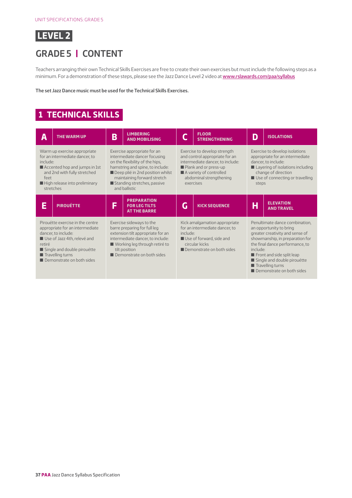

## **GRADE 5 | CONTENT**

Teachers arranging their own Technical Skills Exercises are free to create their own exercises but must include the following steps as a minimum. For a demonstration of these steps, please see the Jazz Dance Level 2 video at [www.rslawards.com/paa/syllabus](http://www.rslawards.com/paa/syllabus)

**The set Jazz Dance music must be used for the Technical Skills Exercises.**

#### **1 TECHNICAL SKILLS**

| Α                                                                                                                                                                                                                                  | <b>THE WARM UP</b> | B | <b>LIMBERING</b><br><b>AND MOBILISING</b>                                                                                                                                                                                                             |                                                                                                                                                        | <b>FLOOR</b><br><b>STRENGTHENING</b>                                                                                                                                                           | D                                                                                                                                                                                                                                                                                                          | <b>ISOLATIONS</b>                                                                                                                                                                               |  |
|------------------------------------------------------------------------------------------------------------------------------------------------------------------------------------------------------------------------------------|--------------------|---|-------------------------------------------------------------------------------------------------------------------------------------------------------------------------------------------------------------------------------------------------------|--------------------------------------------------------------------------------------------------------------------------------------------------------|------------------------------------------------------------------------------------------------------------------------------------------------------------------------------------------------|------------------------------------------------------------------------------------------------------------------------------------------------------------------------------------------------------------------------------------------------------------------------------------------------------------|-------------------------------------------------------------------------------------------------------------------------------------------------------------------------------------------------|--|
| Warm up exercise appropriate<br>for an intermediate dancer, to<br>include:<br>Accented hop and jumps in 1st<br>and 2nd with fully stretched<br>feet<br>High release into preliminary<br>stretches                                  |                    |   | Exercise appropriate for an<br>intermediate dancer focusing<br>on the flexibility of the hips.<br>hamstring and spine, to include:<br>Deep plié in 2nd position whilst<br>maintaining forward stretch<br>Standing stretches, passive<br>and ballistic |                                                                                                                                                        | Exercise to develop strength<br>and control appropriate for an<br>intermediate dancer, to include:<br>Plank and or press-up<br>A variety of controlled<br>abdominal strengthening<br>exercises |                                                                                                                                                                                                                                                                                                            | Exercise to develop isolations<br>appropriate for an intermediate<br>dancer, to include:<br>Layering of isolations including<br>change of direction<br>Use of connecting or travelling<br>steps |  |
| E                                                                                                                                                                                                                                  | <b>PIROUÉTTE</b>   | F | <b>PREPARATION</b><br><b>FOR LEG TILTS</b><br><b>AT THE BARRE</b>                                                                                                                                                                                     | G                                                                                                                                                      | <b>KICK SEQUENCE</b>                                                                                                                                                                           | Η                                                                                                                                                                                                                                                                                                          | <b>ELEVATION</b><br><b>AND TRAVEL</b>                                                                                                                                                           |  |
| Pirouétte exercise in the centre<br>appropriate for an intermediate<br>dancer, to include:<br>Use of Jazz 4th, relevé and<br>retiré<br>Single and double pirouétte<br>$\blacksquare$ Travelling turns<br>Demonstrate on both sides |                    |   | Exercise sideways to the<br>barre preparing for full leg<br>extension tilt appropriate for an<br>intermediate dancer, to include:<br>■ Working leg through retiré to<br>tilt position<br>Demonstrate on both sides                                    | Kick amalgamation appropriate<br>for an intermediate dancer, to<br>include:<br>Use of forward, side and<br>circular kicks<br>Demonstrate on both sides |                                                                                                                                                                                                | Penultimate dance combination,<br>an opportunity to bring<br>greater creativity and sense of<br>showmanship, in preparation for<br>the final dance performance, to<br>include:<br>Front and side split leap<br>Single and double pirouétte<br>$\blacksquare$ Travelling turns<br>Demonstrate on both sides |                                                                                                                                                                                                 |  |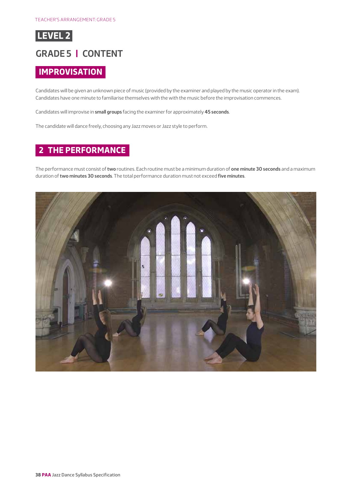

#### **GRADE 5 | CONTENT**

#### **IMPROVISATION**

Candidates will be given an unknown piece of music (provided by the examiner and played by the music operator in the exam). Candidates have one minute to familiarise themselves with the with the music before the improvisation commences.

Candidates will improvise in **small groups** facing the examiner for approximately **45 seconds**.

The candidate will dance freely, choosing any Jazz moves or Jazz style to perform.

#### **2 THE PERFORMANCE**

The performance must consist of **two** routines. Each routine must be a minimum duration of **one minute 30 seconds** and a maximum duration of **two minutes 30 seconds**. The total performance duration must not exceed **five minutes**.

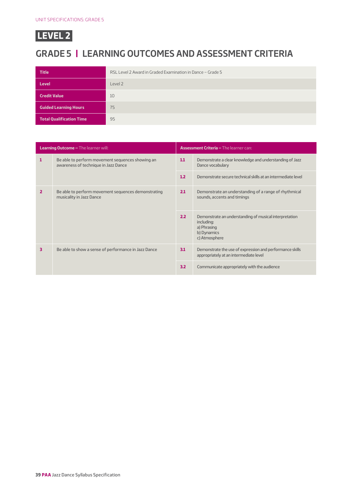## **GRADE 5 | LEARNING OUTCOMES AND ASSESSMENT CRITERIA**

| <b>Title</b>                    | RSL Level 2 Award in Graded Examination in Dance - Grade 5 |
|---------------------------------|------------------------------------------------------------|
| <b>Level</b>                    | Level 2                                                    |
| <b>Credit Value</b>             | 10                                                         |
| <b>Guided Learning Hours</b>    | 75                                                         |
| <b>Total Qualification Time</b> | 95                                                         |

| <b>Learning Outcome - The learner will:</b> |                                                                                                        |     | <b>Assessment Criteria - The learner can:</b>                                                                       |  |  |  |
|---------------------------------------------|--------------------------------------------------------------------------------------------------------|-----|---------------------------------------------------------------------------------------------------------------------|--|--|--|
| 1                                           | Be able to perform movement sequences showing an<br>1.1<br>awareness of technique in Jazz Dance<br>1.2 |     | Demonstrate a clear knowledge and understanding of Jazz<br>Dance vocabulary                                         |  |  |  |
|                                             |                                                                                                        |     | Demonstrate secure technical skills at an intermediate level                                                        |  |  |  |
| $\overline{2}$                              | Be able to perform movement sequences demonstrating<br>musicality in Jazz Dance                        |     | Demonstrate an understanding of a range of rhythmical<br>sounds, accents and timings                                |  |  |  |
|                                             |                                                                                                        | 2.2 | Demonstrate an understanding of musical interpretation<br>including:<br>a) Phrasing<br>b) Dynamics<br>c) Atmosphere |  |  |  |
| 3                                           | Be able to show a sense of performance in Jazz Dance                                                   |     | Demonstrate the use of expression and performance skills<br>appropriately at an intermediate level                  |  |  |  |
|                                             |                                                                                                        | 3.2 | Communicate appropriately with the audience                                                                         |  |  |  |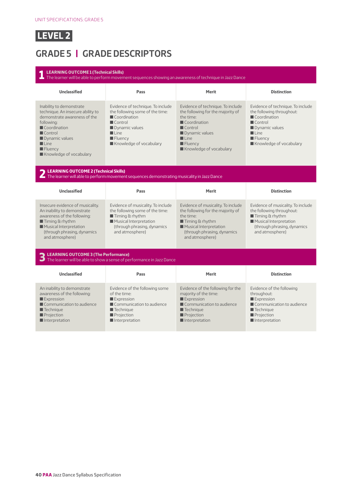

## **GRADE 5 | GRADE DESCRIPTORS**

#### **1 LEARNING OUTCOME 1 (Technical Skills)** The learner will be able to perform movement sequences showing an awareness of technique in Jazz Dance **Unclassified Pass Merit Distinction** Inability to demonstrate technique. An insecure ability to demonstrate awareness of the following:  $\blacksquare$  Coordination **Control**  $\blacksquare$  Dynamic values  $\blacksquare$  Line  $\blacksquare$  Fluency  $\blacksquare$  Knowledge of vocabulary Evidence of technique. To include the following some of the time:  $\blacksquare$  Coordination  $\blacksquare$  Control **Dynamic values**  $\blacksquare$  Line **E** Fluency Knowledge of vocabulary Evidence of technique. To include the following for the majority of the time: **Coordination Control**  $\blacksquare$  Dynamic values  $\blacksquare$  Line  $\blacksquare$  Fluency Knowledge of vocabulary Evidence of technique. To include the following throughout:  $\blacksquare$  Coordination  $\blacksquare$  Control **Dynamic values**  $\blacksquare$  Line  $\blacksquare$  Fluency Knowledge of vocabulary **2 LEARNING OUTCOME 2 (Technical Skills)** The learner will able to perform movement sequences demonstrating musicality in Jazz Dance **Unclassified Pass Merit Distinction** Insecure evidence of musicality. An inability to demonstrate awareness of the following:  $\blacksquare$  Timing & rhythm **Musical Interpretation** (through phrasing, dynamics and atmosphere) Evidence of musicality. To include the following some of the time:  $\blacksquare$  Timing & rhythm  $\blacksquare$  Musical Interpretation (through phrasing, dynamics and atmosphere) Evidence of musicality. To include the following for the majority of the time:  $\blacksquare$  Timing & rhythm **Musical Interpretation** (through phrasing, dynamics and atmosphere) Evidence of musicality. To include the following throughout:  $\blacksquare$  Timing & rhythm **Musical Interpretation** (through phrasing, dynamics and atmosphere) **3 LEARNING OUTCOME 3 (The Performance)** The learner will be able to show a sense of performance in Jazz Dance **Unclassified Pass Merit Distinction** An inability to demonstrate awareness of the following:  $\square$  Expression  $\blacksquare$  Communication to audience  $\blacksquare$  Technique **Projection**  $\blacksquare$  Interpretation Evidence of the following some of the time: Expression  $\blacksquare$  Communication to audience  $\blacksquare$  Technique **Projection**  $\blacksquare$  Interpretation Evidence of the following for the majority of the time: Expression  $\blacksquare$  Communication to audience  $\blacksquare$  Technique **Projection**  $\blacksquare$  Interpretation Evidence of the following throughout: Expression  $\blacksquare$  Communication to audience  $\blacksquare$  Technique **Projection**  $\blacksquare$  Interpretation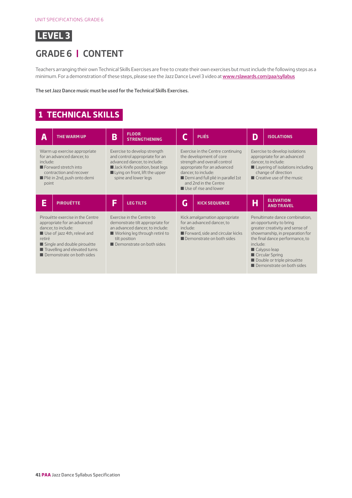

## **GRADE 6 | CONTENT**

Teachers arranging their own Technical Skills Exercises are free to create their own exercises but must include the following steps as a minimum. For a demonstration of these steps, please see the Jazz Dance Level 3 video at [www.rslawards.com/paa/syllabus](http://www.rslawards.com/paa/syllabus)

**The set Jazz Dance music must be used for the Technical Skills Exercises.**

#### **1 TECHNICAL SKILLS**

| Α                                                                                                                                                                                                                            | <b>THE WARM UP</b> | B | <b>FLOOR</b><br><b>STRENGTHENING</b>                                                                                                                                                                      |   | <b>PLIÉS</b>                                                                                                                                                                                                                                              | D | <b>ISOLATIONS</b>                                                                                                                                                                                                                                                            |  |
|------------------------------------------------------------------------------------------------------------------------------------------------------------------------------------------------------------------------------|--------------------|---|-----------------------------------------------------------------------------------------------------------------------------------------------------------------------------------------------------------|---|-----------------------------------------------------------------------------------------------------------------------------------------------------------------------------------------------------------------------------------------------------------|---|------------------------------------------------------------------------------------------------------------------------------------------------------------------------------------------------------------------------------------------------------------------------------|--|
| Warm up exercise appropriate<br>for an advanced dancer, to<br>include:<br>Forward stretch into<br>contraction and recover<br>Plié in 2nd, push onto demi<br>point                                                            |                    |   | Exercise to develop strength<br>and control appropriate for an<br>advanced dancer, to include:<br>Jack Knife position, beat legs<br>$\blacksquare$ Lying on front, lift the upper<br>spine and lower legs |   | Exercise in the Centre continuing<br>the development of core<br>strength and overall control<br>appropriate for an advanced<br>dancer, to include:<br>Demi and full plié in parallel 1st<br>and 2nd in the Centre<br>$\blacksquare$ Use of rise and lower |   | Exercise to develop isolations<br>appropriate for an advanced<br>dancer, to include:<br>Layering of isolations including<br>change of direction<br>$\blacksquare$ Creative use of the music                                                                                  |  |
| Ē                                                                                                                                                                                                                            | <b>PIROUÉTTE</b>   | F | <b>LEG TILTS</b>                                                                                                                                                                                          | G | <b>KICK SEQUENCE</b>                                                                                                                                                                                                                                      | H | <b>ELEVATION</b><br><b>AND TRAVEL</b>                                                                                                                                                                                                                                        |  |
| Pirouétte exercise in the Centre<br>appropriate for an advanced<br>dancer, to include:<br>Use of jazz 4th, relevé and<br>retiré<br>Single and double pirouétte<br>Travelling and elevated turns<br>Demonstrate on both sides |                    |   | Exercise in the Centre to<br>demonstrate tilt appropriate for<br>an advanced dancer, to include:<br>■ Working leg through retiré to<br>tilt position<br>Demonstrate on both sides                         |   | Kick amalgamation appropriate<br>for an advanced dancer, to<br>include:<br>Forward, side and circular kicks<br>Demonstrate on both sides                                                                                                                  |   | Penultimate dance combination.<br>an opportunity to bring<br>greater creativity and sense of<br>showmanship, in preparation for<br>the final dance performance, to<br>include:<br>Calypso leap<br>Circular Spring<br>Double or triple pirouétte<br>Demonstrate on both sides |  |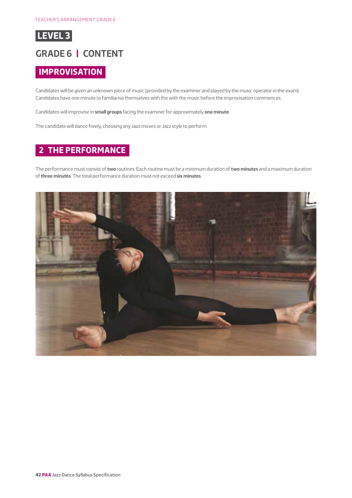

#### **GRADE 6 | CONTENT**

#### **IMPROVISATION**

Candidates will be given an unknown piece of music (provided by the examiner and played by the music operator in the exam). Candidates have one minute to familiarise themselves with the with the music before the improvisation commences.

Candidates will improvise in **small groups** facing the examiner for approximately **one minute**.

The candidate will dance freely, choosing any Jazz moves or Jazz style to perform.

#### **2 THE PERFORMANCE**

The performance must consist of **two** routines. Each routine must be a minimum duration of **two minutes** and a maximum duration of **three minutes**. The total performance duration must not exceed **six minutes**.

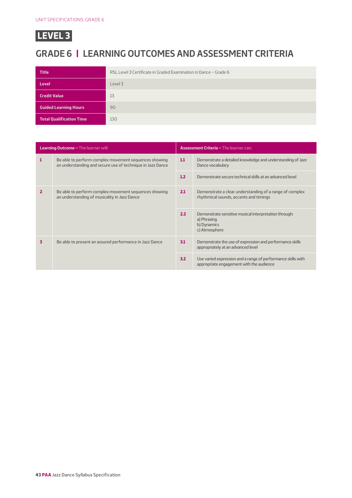## **GRADE 6 | LEARNING OUTCOMES AND ASSESSMENT CRITERIA**

| <b>Title</b>                    | RSL Level 3 Certificate in Graded Examination in Dance - Grade 6 |
|---------------------------------|------------------------------------------------------------------|
| <b>Level</b>                    | Level 3                                                          |
| <b>Credit Value</b>             | 13                                                               |
| <b>Guided Learning Hours</b>    | 90                                                               |
| <b>Total Qualification Time</b> | 130                                                              |

| <b>Learning Outcome - The learner will:</b> |                                                                                                                     |     | <b>Assessment Criteria - The learner can:</b>                                                            |  |  |  |
|---------------------------------------------|---------------------------------------------------------------------------------------------------------------------|-----|----------------------------------------------------------------------------------------------------------|--|--|--|
| 1                                           | Be able to perform complex movement sequences showing<br>an understanding and secure use of technique in Jazz Dance | 1.1 | Demonstrate a detailed knowledge and understanding of Jazz<br>Dance vocabulary                           |  |  |  |
|                                             |                                                                                                                     | 1.2 | Demonstrate secure technical skills at an advanced level                                                 |  |  |  |
| 2                                           | Be able to perform complex movement sequences showing<br>an understanding of musicality in Jazz Dance               |     | Demonstrate a clear understanding of a range of complex<br>rhythmical sounds, accents and timings        |  |  |  |
|                                             |                                                                                                                     | 2.2 | Demonstrate sensitive musical interpretation through:<br>a) Phrasing<br>b) Dynamics<br>c) Atmosphere     |  |  |  |
| 3                                           | Be able to present an assured performance in Jazz Dance                                                             | 3.1 | Demonstrate the use of expression and performance skills<br>appropriately at an advanced level           |  |  |  |
|                                             |                                                                                                                     | 3.2 | Use varied expression and a range of performance skills with<br>appropriate engagement with the audience |  |  |  |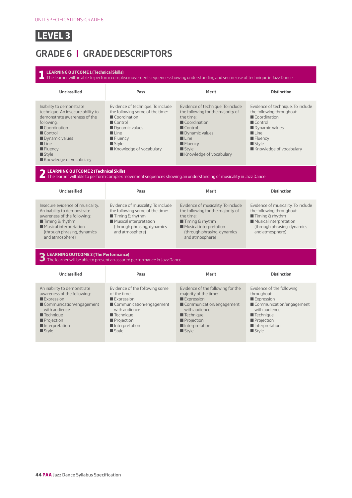## **GRADE 6 | GRADE DESCRIPTORS**

#### **1 LEARNING OUTCOME 1 (Technical Skills)** The learner will be able to perform complex movement sequences showing understanding and secure use of technique in Jazz Dance **Unclassified Pass Merit Distinction** Inability to demonstrate technique. An insecure ability to demonstrate awareness of the following:  $\blacksquare$  Coordination **Control**  $\blacksquare$  Dynamic values  $\blacksquare$  Line **E** Fluency  $\blacksquare$  Style  $\blacksquare$  Knowledge of vocabulary Evidence of technique. To include the following some of the time:  $\blacksquare$  Coordination  $\blacksquare$  Control **Dynamic values**  $\blacksquare$  Line  $\blacksquare$  Fluency  $\blacksquare$  Style Knowledge of vocabulary Evidence of technique. To include the following for the majority of the time: **Coordination Control**  $\blacksquare$  Dynamic values  $\blacksquare$  Line  $\blacksquare$  Fluency  $\blacksquare$  Style  $\blacksquare$  Knowledge of vocabulary Evidence of technique. To include the following throughout:  $\blacksquare$  Coordination  $\blacksquare$  Control **Dynamic values**  $\blacksquare$  Line  $\blacksquare$  Fluency  $\blacksquare$  Style Knowledge of vocabulary **2 LEARNING OUTCOME 2 (Technical Skills)** The learner will able to perform complex movement sequences showing an understanding of musicality in Jazz Dance **Unclassified Pass Merit Distinction** Insecure evidence of musicality. An inability to demonstrate awareness of the following:  $\blacksquare$  Timing & rhythm  $\blacksquare$  Musical interpretation (through phrasing, dynamics and atmosphere) Evidence of musicality. To include the following some of the time:  $\blacksquare$  Timing & rhythm  $\blacksquare$  Musical interpretation (through phrasing, dynamics and atmosphere) Evidence of musicality. To include the following for the majority of the time:  $\blacksquare$  Timing & rhythm  $\blacksquare$  Musical interpretation (through phrasing, dynamics and atmosphere) Evidence of musicality. To include the following throughout:  $\blacksquare$  Timing & rhythm  $\blacksquare$  Musical interpretation (through phrasing, dynamics and atmosphere) **3 LEARNING OUTCOME 3 (The Performance)** The learner will be able to present an assured performance in Jazz Dance **Unclassified Pass Merit Distinction** An inability to demonstrate awareness of the following: **Expression**  $\blacksquare$  Communication/engagement with audience  $\blacksquare$  Technique **Projection**  $\blacksquare$  Interpretation  $\blacksquare$  Style Evidence of the following some of the time: Expression  $\blacksquare$  Communication/engagement with audience  $\blacksquare$  Technique  $\blacksquare$  Projection  $\blacksquare$  Interpretation  $\blacksquare$  Style Evidence of the following for the majority of the time: Expression  $\blacksquare$  Communication/engagement with audience  $\blacksquare$  Technique  $\blacksquare$  Projection  $\blacksquare$  Interpretation  $\blacksquare$  Style Evidence of the following throughout: Expression Gommunication/engagement with audience  $\blacksquare$  Technique  $\blacksquare$  Projection  $\blacksquare$  Interpretation  $\blacksquare$  Style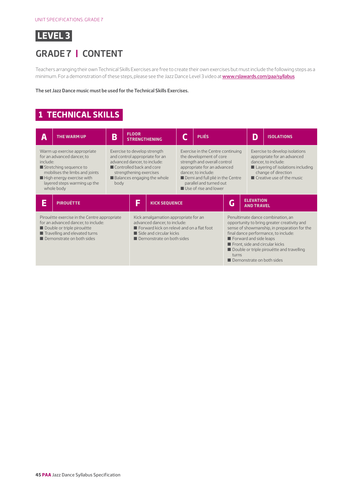

#### **GRADE 7 | CONTENT**

Teachers arranging their own Technical Skills Exercises are free to create their own exercises but must include the following steps as a minimum. For a demonstration of these steps, please see the Jazz Dance Level 3 video at [www.rslawards.com/paa/syllabus](http://www.rslawards.com/paa/syllabus)

**The set Jazz Dance music must be used for the Technical Skills Exercises.**

#### **1 TECHNICAL SKILLS**

| Α                                                                                                                                                                                                                     | <b>THE WARM UP</b> | B                                                                                                                                                                                    | <b>FLOOR</b><br><b>STRENGTHENING</b>                                                                                                                                                                                                                      |                                                                                                                                                                                            | <b>PLIÉS</b>                                                                                                                                            |                                                                                                                                                                                                                                                                                                                         | D                                | <b>ISOLATIONS</b> |
|-----------------------------------------------------------------------------------------------------------------------------------------------------------------------------------------------------------------------|--------------------|--------------------------------------------------------------------------------------------------------------------------------------------------------------------------------------|-----------------------------------------------------------------------------------------------------------------------------------------------------------------------------------------------------------------------------------------------------------|--------------------------------------------------------------------------------------------------------------------------------------------------------------------------------------------|---------------------------------------------------------------------------------------------------------------------------------------------------------|-------------------------------------------------------------------------------------------------------------------------------------------------------------------------------------------------------------------------------------------------------------------------------------------------------------------------|----------------------------------|-------------------|
| Warm up exercise appropriate<br>for an advanced dancer, to<br>include:<br>Stretching sequence to<br>mobilises the limbs and joints<br>High energy exercise with<br>layered steps warming up the<br>body<br>whole body |                    | Exercise to develop strength<br>and control appropriate for an<br>advanced dancer, to include:<br>Controlled back and core<br>strengthening exercises<br>Balances engaging the whole | Exercise in the Centre continuing<br>the development of core<br>strength and overall control<br>appropriate for an advanced<br>dancer, to include:<br>Demi and full plié in the Centre<br>parallel and turned out<br>$\blacksquare$ Use of rise and lower |                                                                                                                                                                                            | Exercise to develop isolations<br>appropriate for an advanced<br>dancer, to include:<br>change of direction<br>$\blacksquare$ Creative use of the music |                                                                                                                                                                                                                                                                                                                         | Layering of isolations including |                   |
| E<br><b>PIROUÉTTE</b>                                                                                                                                                                                                 |                    | E                                                                                                                                                                                    | <b>KICK SEQUENCE</b>                                                                                                                                                                                                                                      |                                                                                                                                                                                            | G                                                                                                                                                       | <b>ELEVATION</b><br><b>AND TRAVEL</b>                                                                                                                                                                                                                                                                                   |                                  |                   |
| Pirouétte exercise in the Centre appropriate<br>for an advanced dancer, to include:<br>Double or triple pirouétte<br>Travelling and elevated turns<br>Demonstrate on both sides                                       |                    |                                                                                                                                                                                      |                                                                                                                                                                                                                                                           | Kick amalgamation appropriate for an<br>advanced dancer, to include:<br>E Forward kick on relevé and on a flat foot<br>$\blacksquare$ Side and circular kicks<br>Demonstrate on both sides |                                                                                                                                                         | Penultimate dance combination, an<br>opportunity to bring greater creativity and<br>sense of showmanship, in preparation for the<br>final dance performance, to include:<br>Forward and side leaps<br>Front, side and circular kicks<br>Double or triple pirouétte and travelling<br>turns<br>Demonstrate on both sides |                                  |                   |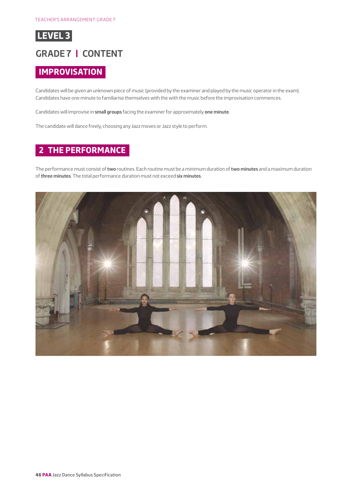

#### **GRADE 7 | CONTENT**

#### **IMPROVISATION**

Candidates will be given an unknown piece of music (provided by the examiner and played by the music operator in the exam). Candidates have one minute to familiarise themselves with the with the music before the improvisation commences.

Candidates will improvise in **small groups** facing the examiner for approximately **one minute**.

The candidate will dance freely, choosing any Jazz moves or Jazz style to perform.

#### **2 THE PERFORMANCE**

The performance must consist of **two** routines. Each routine must be a minimum duration of **two minutes** and a maximum duration of **three minutes**. The total performance duration must not exceed **six minutes**.

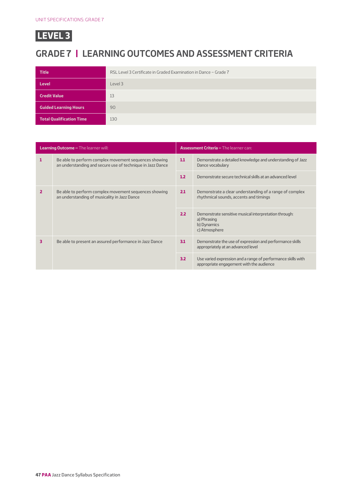## **GRADE 7 | LEARNING OUTCOMES AND ASSESSMENT CRITERIA**

| <b>Title</b>                    | RSL Level 3 Certificate in Graded Examination in Dance - Grade 7 |  |  |
|---------------------------------|------------------------------------------------------------------|--|--|
| <b>Level</b>                    | Level 3                                                          |  |  |
| <b>Credit Value</b>             | 13                                                               |  |  |
| <b>Guided Learning Hours</b>    | 90                                                               |  |  |
| <b>Total Qualification Time</b> | 130                                                              |  |  |

| <b>Learning Outcome - The learner will:</b> |                                                                                                                     | <b>Assessment Criteria - The learner can:</b> |                                                                                                          |  |
|---------------------------------------------|---------------------------------------------------------------------------------------------------------------------|-----------------------------------------------|----------------------------------------------------------------------------------------------------------|--|
| 1                                           | Be able to perform complex movement sequences showing<br>an understanding and secure use of technique in Jazz Dance |                                               | Demonstrate a detailed knowledge and understanding of Jazz<br>Dance vocabulary                           |  |
|                                             |                                                                                                                     | 1.2                                           | Demonstrate secure technical skills at an advanced level                                                 |  |
| 2                                           | Be able to perform complex movement sequences showing<br>an understanding of musicality in Jazz Dance               |                                               | Demonstrate a clear understanding of a range of complex<br>rhythmical sounds, accents and timings        |  |
|                                             |                                                                                                                     |                                               | Demonstrate sensitive musical interpretation through:<br>a) Phrasing<br>b) Dynamics<br>c) Atmosphere     |  |
| 3                                           | Be able to present an assured performance in Jazz Dance                                                             |                                               | Demonstrate the use of expression and performance skills<br>appropriately at an advanced level           |  |
|                                             |                                                                                                                     | 3.2                                           | Use varied expression and a range of performance skills with<br>appropriate engagement with the audience |  |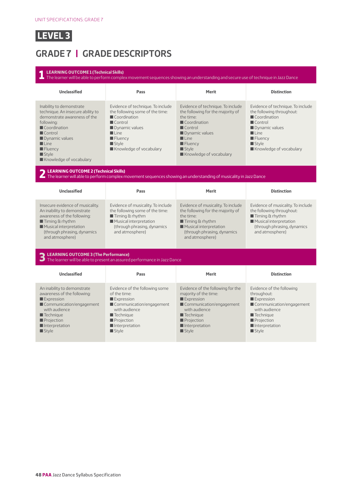

## **GRADE 7 | GRADE DESCRIPTORS**

#### **1 LEARNING OUTCOME 1 (Technical Skills)** The learner will be able to perform complex movement sequences showing an understanding and secure use of technique in Jazz Dance **Unclassified Pass Merit Distinction** Inability to demonstrate technique. An insecure ability to demonstrate awareness of the following:  $\blacksquare$  Coordination **Control**  $\blacksquare$  Dynamic values  $\blacksquare$  Line **E** Fluency  $\blacksquare$  Style  $\blacksquare$  Knowledge of vocabulary Evidence of technique. To include the following some of the time:  $\blacksquare$  Coordination  $\blacksquare$  Control **Dynamic values**  $\blacksquare$  Line  $\blacksquare$  Fluency  $\blacksquare$  Style Knowledge of vocabulary Evidence of technique. To include the following for the majority of the time: **Coordination Control**  $\blacksquare$  Dynamic values  $\blacksquare$  Line  $\blacksquare$  Fluency  $\blacksquare$  Style  $\blacksquare$  Knowledge of vocabulary Evidence of technique. To include the following throughout:  $\blacksquare$  Coordination  $\blacksquare$  Control **Dynamic values**  $\blacksquare$  Line  $\blacksquare$  Fluency  $\blacksquare$  Style Knowledge of vocabulary **2 LEARNING OUTCOME 2 (Technical Skills)** The learner will able to perform complex movement sequences showing an understanding of musicality in Jazz Dance **Unclassified Pass Merit Distinction** Insecure evidence of musicality. An inability to demonstrate awareness of the following:  $\blacksquare$  Timing & rhythm  $\blacksquare$  Musical interpretation (through phrasing, dynamics and atmosphere) Evidence of musicality. To include the following some of the time:  $\blacksquare$  Timing & rhythm  $\blacksquare$  Musical interpretation (through phrasing, dynamics and atmosphere) Evidence of musicality. To include the following for the majority of the time:  $\blacksquare$  Timing & rhythm  $\blacksquare$  Musical interpretation (through phrasing, dynamics and atmosphere) Evidence of musicality. To include the following throughout:  $\blacksquare$  Timing & rhythm  $\blacksquare$  Musical interpretation (through phrasing, dynamics and atmosphere) **3 LEARNING OUTCOME 3 (The Performance)** The learner will be able to present an assured performance in Jazz Dance **Unclassified Pass Merit Distinction** An inability to demonstrate awareness of the following: **Expression**  $\blacksquare$  Communication/engagement with audience  $\blacksquare$  Technique **Projection**  $\blacksquare$  Interpretation  $\blacksquare$  Style Evidence of the following some of the time: Expression  $\blacksquare$  Communication/engagement with audience  $\blacksquare$  Technique  $\blacksquare$  Projection  $\blacksquare$  Interpretation  $\blacksquare$  Style Evidence of the following for the majority of the time: Expression  $\blacksquare$  Communication/engagement with audience  $\blacksquare$  Technique  $\blacksquare$  Projection  $\blacksquare$  Interpretation  $\blacksquare$  Style Evidence of the following throughout: Expression Gommunication/engagement with audience  $\blacksquare$  Technique  $\blacksquare$  Projection  $\blacksquare$  Interpretation  $\blacksquare$  Style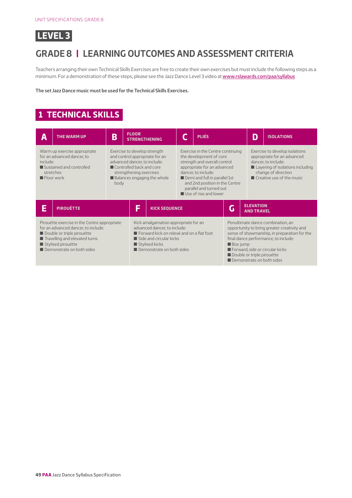

## **GRADE 8 | LEARNING OUTCOMES AND ASSESSMENT CRITERIA**

Teachers arranging their own Technical Skills Exercises are free to create their own exercises but must include the following steps as a minimum. For a demonstration of these steps, please see the Jazz Dance Level 3 video at [www.rslawards.com/paa/syllabus](http://www.rslawards.com/paa/syllabus)

**The set Jazz Dance music must be used for the Technical Skills Exercises.**

#### **1 TECHNICAL SKILLS**

| A                                                                                                                                                                                                     | <b>THE WARM UP</b> | B | <b>FLOOR</b>                                                                                                                                                                                               | <b>STRENGTHENING</b> |                                                                                                                                                                                                                                                                                           | <b>PLIÉS</b> |   | D                                                                                                                                                                                           | <b>ISOLATIONS</b> |
|-------------------------------------------------------------------------------------------------------------------------------------------------------------------------------------------------------|--------------------|---|------------------------------------------------------------------------------------------------------------------------------------------------------------------------------------------------------------|----------------------|-------------------------------------------------------------------------------------------------------------------------------------------------------------------------------------------------------------------------------------------------------------------------------------------|--------------|---|---------------------------------------------------------------------------------------------------------------------------------------------------------------------------------------------|-------------------|
| Warm up exercise appropriate<br>for an advanced dancer, to<br>include:<br>Sustained and controlled<br>stretches<br>$\blacksquare$ Floor work                                                          |                    |   | Exercise to develop strength<br>and control appropriate for an<br>advanced dancer, to include:<br>Controlled back and core<br>strengthening exercises<br>Balances engaging the whole<br>body               |                      | Exercise in the Centre continuing<br>the development of core<br>strength and overall control<br>appropriate for an advanced<br>dancer, to include:<br>Demi and full in parallel 1st<br>and 2nd position in the Centre<br>parallel and turned out<br>$\blacksquare$ Use of rise and lower  |              |   | Exercise to develop isolations<br>appropriate for an advanced<br>dancer, to include:<br>Layering of isolations including<br>change of direction<br>$\blacksquare$ Creative use of the music |                   |
| E<br><b>PIROUÉTTE</b>                                                                                                                                                                                 |                    |   | E                                                                                                                                                                                                          | <b>KICK SEQUENCE</b> |                                                                                                                                                                                                                                                                                           |              | Ġ | <b>ELEVATION</b><br><b>AND TRAVEL</b>                                                                                                                                                       |                   |
| Pirouétte exercise in the Centre appropriate<br>for an advanced dancer, to include:<br>Double or triple pirouétte<br>Travelling and elevated turns<br>Stylised pirouétte<br>Demonstrate on both sides |                    |   | Kick amalgamation appropriate for an<br>advanced dancer, to include:<br>Forward kick on relevé and on a flat foot<br>$\blacksquare$ Side and circular kicks<br>Stylised kicks<br>Demonstrate on both sides |                      | Penultimate dance combination, an<br>opportunity to bring greater creativity and<br>sense of showmanship, in preparation for the<br>final dance performance, to include:<br><b>Box</b> jump<br>Forward, side or circular kicks<br>Double or triple pirouétte<br>Demonstrate on both sides |              |   |                                                                                                                                                                                             |                   |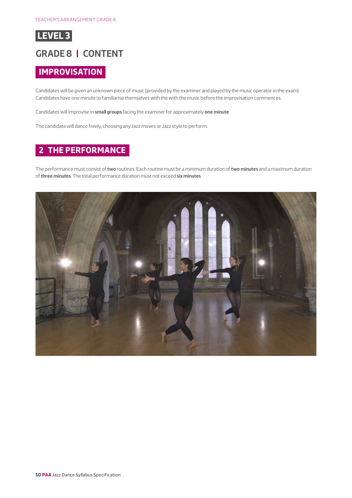

#### **GRADE 8 | CONTENT**

#### **IMPROVISATION**

Candidates will be given an unknown piece of music (provided by the examiner and played by the music operator in the exam). Candidates have one minute to familiarise themselves with the with the music before the improvisation commences.

Candidates will improvise in **small groups** facing the examiner for approximately **one minute**.

The candidate will dance freely, choosing any Jazz moves or Jazz style to perform.

#### **2 THE PERFORMANCE**

The performance must consist of **two** routines. Each routine must be a minimum duration of **two minutes** and a maximum duration of **three minutes**. The total performance duration must not exceed **six minutes**.

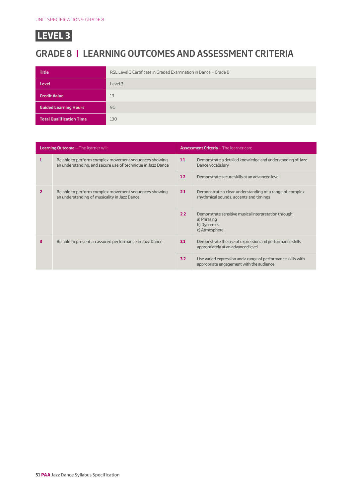## **GRADE 8 | LEARNING OUTCOMES AND ASSESSMENT CRITERIA**

| <b>Title</b>                    | RSL Level 3 Certificate in Graded Examination in Dance - Grade 8 |  |  |
|---------------------------------|------------------------------------------------------------------|--|--|
| <b>Level</b>                    | Level 3                                                          |  |  |
| <b>Credit Value</b>             | 13                                                               |  |  |
| <b>Guided Learning Hours</b>    | 90                                                               |  |  |
| <b>Total Qualification Time</b> | 130                                                              |  |  |

| <b>Learning Outcome - The learner will:</b> |                                                                                                                      | <b>Assessment Criteria - The learner can:</b> |                                                                                                          |  |
|---------------------------------------------|----------------------------------------------------------------------------------------------------------------------|-----------------------------------------------|----------------------------------------------------------------------------------------------------------|--|
| 1                                           | Be able to perform complex movement sequences showing<br>an understanding, and secure use of technique in Jazz Dance |                                               | Demonstrate a detailed knowledge and understanding of Jazz<br>Dance vocabulary                           |  |
|                                             |                                                                                                                      | 1.2                                           | Demonstrate secure skills at an advanced level                                                           |  |
| 2                                           | Be able to perform complex movement sequences showing<br>an understanding of musicality in Jazz Dance                |                                               | Demonstrate a clear understanding of a range of complex<br>rhythmical sounds, accents and timings        |  |
|                                             |                                                                                                                      | 2.2                                           | Demonstrate sensitive musical interpretation through:<br>a) Phrasing<br>b) Dynamics<br>c) Atmosphere     |  |
| 3                                           | Be able to present an assured performance in Jazz Dance                                                              |                                               | Demonstrate the use of expression and performance skills<br>appropriately at an advanced level           |  |
|                                             |                                                                                                                      | 3.2                                           | Use varied expression and a range of performance skills with<br>appropriate engagement with the audience |  |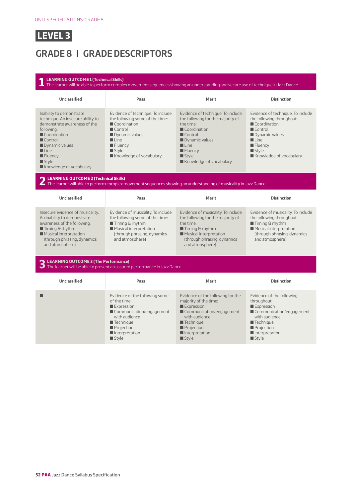## **GRADE 8 | GRADE DESCRIPTORS**

 $\blacksquare$  Projection  $\blacksquare$  Interpretation  $\blacksquare$  Style

**1 LEARNING OUTCOME 1 (Technical Skills)** The learner will be able to perform complex movement sequences showing an understanding and secure use of technique in Jazz Dance **Unclassified Pass Merit Distinction** Inability to demonstrate technique. An insecure ability to demonstrate awareness of the following:  $\blacksquare$  Coordination  $\blacksquare$  Control  $\blacksquare$  Dynamic values  $\blacksquare$  Line  $\blacksquare$  Fluency  $\blacksquare$  Style  $\blacksquare$  Knowledge of vocabulary Evidence of technique. To include the following some of the time:  $\blacksquare$  Coordination  $\blacksquare$  Control  $\blacksquare$  Dynamic values  $\blacksquare$  Line  $\blacksquare$  Fluency  $\blacksquare$  Style  $\blacksquare$  Knowledge of vocabulary Evidence of technique. To include the following for the majority of the time: Coordination  $\blacksquare$  Control **Dynamic values**  $\blacksquare$  Line  $\blacksquare$  Fluency  $\blacksquare$  Style  $\blacksquare$  Knowledge of vocabulary Evidence of technique. To include the following throughout:  $\blacksquare$  Coordination  $\blacksquare$  Control **D** Dynamic values  $\blacksquare$  Line  $\blacksquare$  Fluency  $\blacksquare$  Style Knowledge of vocabulary **2 LEARNING OUTCOME 2 (Technical Skills)** The learner will able to perform complex movement sequences showing an understanding of musicality in Jazz Dance **Unclassified Pass Merit Distinction** Insecure evidence of musicality. An inability to demonstrate awareness of the following:  $\blacksquare$  Timing & rhythm  $\blacksquare$  Musical interpretation (through phrasing, dynamics and atmosphere) Evidence of musicality. To include the following some of the time:  $\blacksquare$  Timing & rhythm  $\blacksquare$  Musical interpretation (through phrasing, dynamics and atmosphere) Evidence of musicality. To include the following for the majority of the time:  $\blacksquare$  Timing & rhythm  $\blacksquare$  Musical interpretation (through phrasing, dynamics and atmosphere) Evidence of musicality. To include the following throughout:  $\blacksquare$  Timing & rhythm  $\blacksquare$  Musical interpretation (through phrasing, dynamics and atmosphere) **3 LEARNING OUTCOME 3 (The Performance)** The learner will be able to present an assured performance in Jazz Dance **Unclassified Pass Merit Distinction Evidence of the following some** of the time: **Expression** Communication/engagement with audience  $\blacksquare$  Technique Evidence of the following for the majority of the time:  $\square$  Expression Communication/engagement with audience  $\blacksquare$  Technique Evidence of the following throughout:  $\square$  Expression Communication/engagement with audience  $\blacksquare$  Technique

 $\blacksquare$  Projection  $\blacksquare$ Interpretation  $\blacksquare$  Style

 $\blacksquare$  Projection  $\blacksquare$  Interpretation  $\blacksquare$  Style